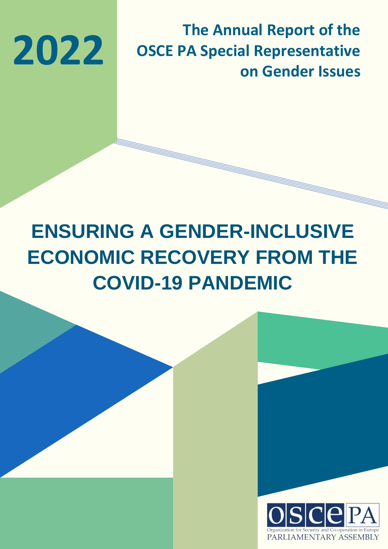# **2022**

**The Annual Report of the OSCE PA Special Representative on Gender Issues**

# **ENSURING A GENDER-INCLUSIVE ECONOMIC RECOVERY FROM THE COVID-19 PANDEMIC**

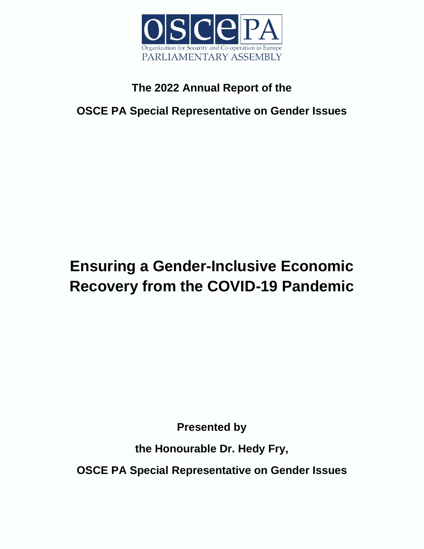

# **The 2022 Annual Report of the**

# **OSCE PA Special Representative on Gender Issues**

# **Ensuring a Gender-Inclusive Economic Recovery from the COVID-19 Pandemic**

**Presented by** 

**the Honourable Dr. Hedy Fry,**

**OSCE PA Special Representative on Gender Issues**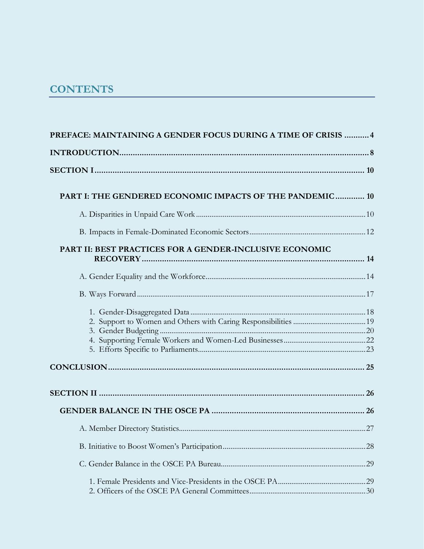# **CONTENTS**

| PREFACE: MAINTAINING A GENDER FOCUS DURING A TIME OF CRISIS  4 |  |
|----------------------------------------------------------------|--|
|                                                                |  |
|                                                                |  |
| PART I: THE GENDERED ECONOMIC IMPACTS OF THE PANDEMIC 10       |  |
|                                                                |  |
|                                                                |  |
| PART II: BEST PRACTICES FOR A GENDER-INCLUSIVE ECONOMIC        |  |
|                                                                |  |
|                                                                |  |
|                                                                |  |
|                                                                |  |
|                                                                |  |
|                                                                |  |
|                                                                |  |
|                                                                |  |
|                                                                |  |
|                                                                |  |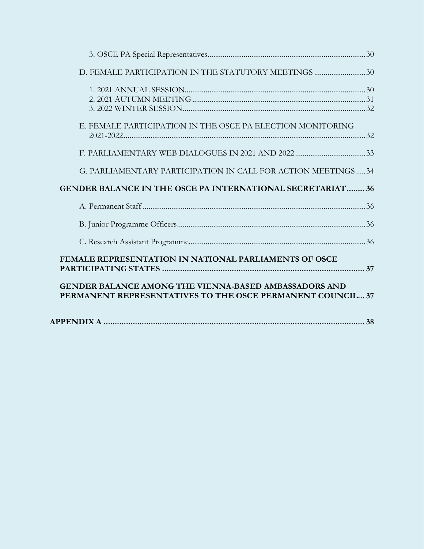| D. FEMALE PARTICIPATION IN THE STATUTORY MEETINGS 30                                                                       |  |
|----------------------------------------------------------------------------------------------------------------------------|--|
|                                                                                                                            |  |
| E. FEMALE PARTICIPATION IN THE OSCE PA ELECTION MONITORING                                                                 |  |
|                                                                                                                            |  |
| G. PARLIAMENTARY PARTICIPATION IN CALL FOR ACTION MEETINGS34                                                               |  |
| <b>GENDER BALANCE IN THE OSCE PA INTERNATIONAL SECRETARIAT 36</b>                                                          |  |
|                                                                                                                            |  |
|                                                                                                                            |  |
|                                                                                                                            |  |
| FEMALE REPRESENTATION IN NATIONAL PARLIAMENTS OF OSCE                                                                      |  |
| <b>GENDER BALANCE AMONG THE VIENNA-BASED AMBASSADORS AND</b><br>PERMANENT REPRESENTATIVES TO THE OSCE PERMANENT COUNCIL 37 |  |
|                                                                                                                            |  |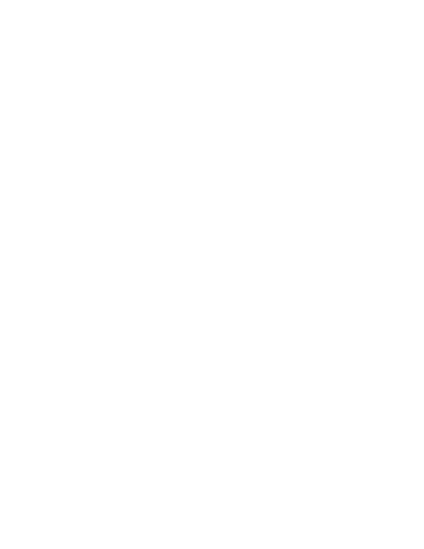<span id="page-4-0"></span>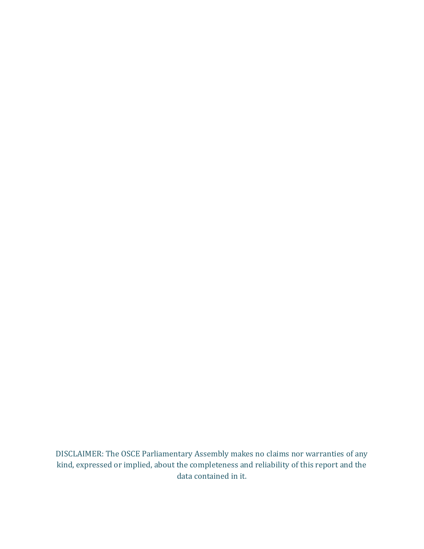DISCLAIMER: The OSCE Parliamentary Assembly makes no claims nor warranties of any kind, expressed or implied, about the completeness and reliability of this report and the data contained in it.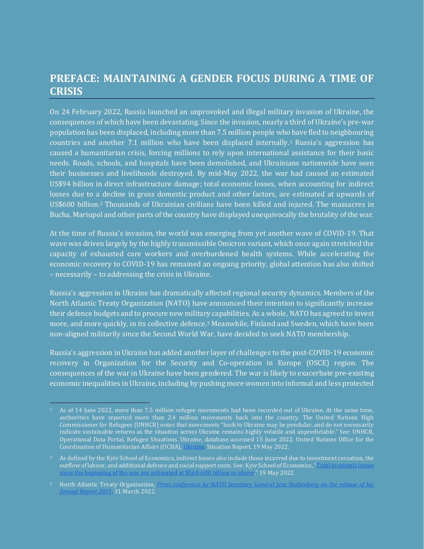## **PREFACE: MAINTAINING A GENDER FOCUS DURING A TIME OF CRISIS**

On 24 February 2022, Russia launched an unprovoked and illegal military invasion of Ukraine, the consequences of which have been devastating. Since the invasion, nearly a third of Ukraine's pre-war population has been displaced, including more than 7.5 million people who have fled to neighbouring countries and another 7.1 million who have been displaced internally. <sup>1</sup> Russia's aggression has caused a humanitarian crisis, forcing millions to rely upon international assistance for their basic needs. Roads, schools, and hospitals have been demolished, and Ukrainians nationwide have seen their businesses and livelihoods destroyed. By mid-May 2022, the war had caused an estimated US\$94 billion in direct infrastructure damage; total economic losses, when accounting for indirect losses due to a decline in gross domestic product and other factors, are estimated at upwards of US\$600 billion. <sup>2</sup> Thousands of Ukrainian civilians have been killed and injured. The massacres in Bucha, Mariupol and other parts of the country have displayed unequivocally the brutality of the war.

At the time of Russia's invasion, the world was emerging from yet another wave of COVID-19. That wave was driven largely by the highly transmissible Omicron variant, which once again stretched the capacity of exhausted care workers and overburdened health systems. While accelerating the economic recovery to COVID-19 has remained an ongoing priority, global attention has also shifted – necessarily – to addressing the crisis in Ukraine.

Russia's aggression in Ukraine has dramatically affected regional security dynamics. Members of the North Atlantic Treaty Organization (NATO) have announced their intention to significantly increase their defence budgets and to procure new military capabilities. As a whole, NATO has agreed to invest more, and more quickly, in its collective defence.<sup>3</sup> Meanwhile, Finland and Sweden, which have been non-aligned militarily since the Second World War, have decided to seek NATO membership.

Russia's aggression in Ukraine has added another layer of challenges to the post-COVID-19 economic recovery in Organization for the Security and Co-operation in Europe (OSCE) region. The consequences of the war in Ukraine have been gendered. The war is likely to exacerbate pre-existing economic inequalities in Ukraine, including by pushing more women into informal and less protected

<sup>&</sup>lt;sup>1</sup> As of 14 June 2022, more than 7.5 million refugee movements had been recorded out of Ukraine. At the same time, authorities have reported more than 2.4 million movements back into the country. The United Nations High Commissioner for Refugees (UNHCR) notes that movements "back to Ukraine may be pendular, and do not necessarily indicate sustainable returns as the situation across Ukraine remains highly volatile and unpredictable." See: UNHCR, Operational Data Portal, Refugee Situations. Ukraine, database accessed 15 June 2022. United Nations Office for the Coordination of Humanitarian Affairs (OCHA), *[Ukraine](https://reports.unocha.org/en/country/ukraine)*, Situation Report, 19 May 2022.

<sup>&</sup>lt;sup>2</sup> As defined by the Kyiv School of Economics, indirect losses also include those incurred due to investment cessation, the outflow of labour, and additional defence and social support costs. See: Kyiv School of Economics, "Total economic losses [since the beginning of the war are estimated at \\$564-600 billion or above](https://kse.ua/about-the-school/news/during-the-week-the-damage-caused-to-ukraine-s-infrastructure-in-the-war-increased-by-3-1-billion/)," 19 May 2022.

<sup>3</sup> North Atlantic Treaty Organization, *[Press conference by NATO Secretary General Jens Stoltenberg on the release of his](https://www.nato.int/cps/en/natohq/opinions_193943.htm)  [Annual Report 2021](https://www.nato.int/cps/en/natohq/opinions_193943.htm)*, 31 March 2022.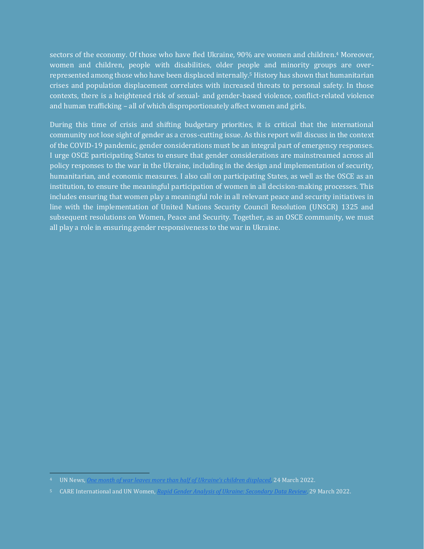sectors of the economy. Of those who have fled Ukraine, 90% are women and children.<sup>4</sup> Moreover, women and children, people with disabilities, older people and minority groups are overrepresented among those who have been displaced internally.<sup>5</sup> History has shown that humanitarian crises and population displacement correlates with increased threats to personal safety. In those contexts, there is a heightened risk of sexual- and gender-based violence, conflict-related violence and human trafficking – all of which disproportionately affect women and girls.

During this time of crisis and shifting budgetary priorities, it is critical that the international community not lose sight of gender as a cross-cutting issue. As this report will discuss in the context of the COVID-19 pandemic, gender considerations must be an integral part of emergency responses. I urge OSCE participating States to ensure that gender considerations are mainstreamed across all policy responses to the war in the Ukraine, including in the design and implementation of security, humanitarian, and economic measures. I also call on participating States, as well as the OSCE as an institution, to ensure the meaningful participation of women in all decision-making processes. This includes ensuring that women play a meaningful role in all relevant peace and security initiatives in line with the implementation of United Nations Security Council Resolution (UNSCR) 1325 and subsequent resolutions on Women, Peace and Security. Together, as an OSCE community, we must all play a role in ensuring gender responsiveness to the war in Ukraine.

<sup>4</sup> UN News, *[One month of war leaves more than half of Ukraine's children displaced](https://news.un.org/en/story/2022/03/1114592)*, 24 March 2022.

<sup>5</sup> CARE International and UN Women, *[Rapid Gender Analysis of Ukraine: Secondary Data Review](https://eca.unwomen.org/sites/default/files/2022-04/RGA%20of%20Ukraine.pdf)*, 29 March 2022.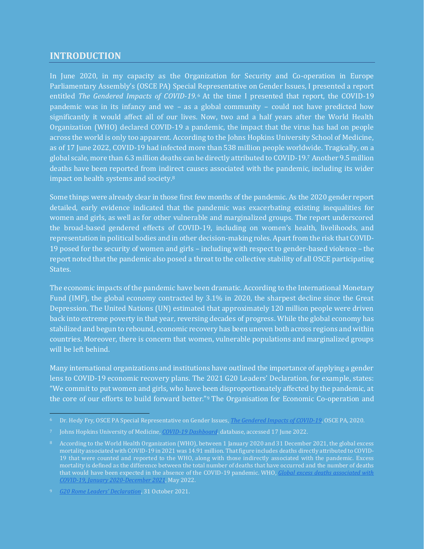#### <span id="page-8-0"></span>**INTRODUCTION**

In June 2020, in my capacity as the Organization for Security and Co-operation in Europe Parliamentary Assembly's (OSCE PA) Special Representative on Gender Issues, I presented a report entitled *The Gendered Impacts of COVID-19.* <sup>6</sup> At the time I presented that report, the COVID-19 pandemic was in its infancy and we – as a global community – could not have predicted how significantly it would affect all of our lives. Now, two and a half years after the World Health Organization (WHO) declared COVID-19 a pandemic, the impact that the virus has had on people across the world is only too apparent. According to the Johns Hopkins University School of Medicine, as of 17 June 2022, COVID-19 had infected more than 538 million people worldwide. Tragically, on a global scale, more than 6.3 million deaths can be directly attributed to COVID-19. <sup>7</sup> Another 9.5 million deaths have been reported from indirect causes associated with the pandemic, including its wider impact on health systems and society. 8

Some things were already clear in those first few months of the pandemic. As the 2020 gender report detailed, early evidence indicated that the pandemic was exacerbating existing inequalities for women and girls, as well as for other vulnerable and marginalized groups. The report underscored the broad-based gendered effects of COVID-19, including on women's health, livelihoods, and representation in political bodies and in other decision-making roles. Apart from the risk that COVID-19 posed for the security of women and girls – including with respect to gender-based violence – the report noted that the pandemic also posed a threat to the collective stability of all OSCE participating States.

The economic impacts of the pandemic have been dramatic. According to the International Monetary Fund (IMF), the global economy contracted by 3.1% in 2020, the sharpest decline since the Great Depression. The United Nations (UN) estimated that approximately 120 million people were driven back into extreme poverty in that year, reversing decades of progress. While the global economy has stabilized and begun to rebound, economic recovery has been uneven both across regions and within countries. Moreover, there is concern that women, vulnerable populations and marginalized groups will be left behind.

Many international organizations and institutions have outlined the importance of applying a gender lens to COVID-19 economic recovery plans. The 2021 G20 Leaders' Declaration, for example, states: "We commit to put women and girls, who have been disproportionately affected by the pandemic, at the core of our efforts to build forward better."<sup>9</sup> The Organisation for Economic Co-operation and

<sup>6</sup> Dr. Hedy Fry, OSCE PA Special Representative on Gender Issues, *[The Gendered Impacts of COVID-19](https://www.oscepa.org/en/documents/special-representatives/gender-issues/report-17/4055-2020-report-by-the-special-representative-on-gender-issues-the-gendered-impacts-of-covid-19/file)*, OSCE PA, 2020.

<sup>7</sup> Johns Hopkins University of Medicine, *[COVID-19 Dashboard](https://coronavirus.jhu.edu/map.html)*, database, accessed 17 June 2022.

<sup>8</sup> According to the World Health Organization (WHO), between 1 January 2020 and 31 December 2021, the global excess mortality associated with COVID-19 in 2021 was 14.91 million. That figure includes deaths directly attributed to COVID-19 that were counted and reported to the WHO, along with those indirectly associated with the pandemic. Excess that would have been expected in the absence of the COVID-19 pandemic. WHO, *Global [excess deaths associated with](https://www.who.int/data/stories/global-excess-deaths-associated-with-covid-19-january-2020-december-2021)  [COVID-19, January 2020-December 2021](https://www.who.int/data/stories/global-excess-deaths-associated-with-covid-19-january-2020-december-2021)*, May 2022.

<sup>9</sup> *[G20 Rome Leaders' Declaration](https://www.international.gc.ca/world-monde/international_relations-relations_internationales/g20/2021-10-31-g20-rome.aspx?lang=eng)*, 31 October 2021.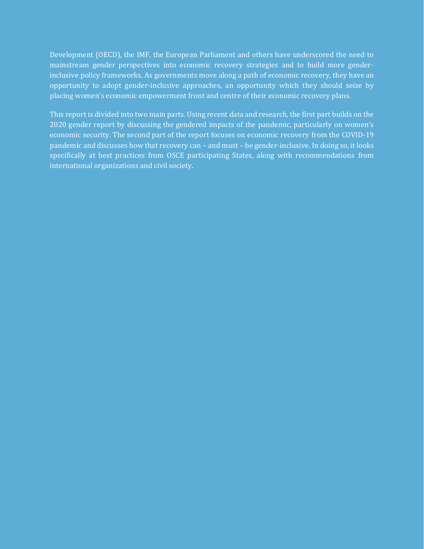Development (OECD), the IMF, the European Parliament and others have underscored the need to mainstream gender perspectives into economic recovery strategies and to build more genderinclusive policy frameworks. As governments move along a path of economic recovery, they have an opportunity to adopt gender-inclusive approaches, an opportunity which they should seize by placing women's economic empowerment front and centre of their economic recovery plans.

This report is divided into two main parts. Using recent data and research, the first part builds on the 2020 gender report by discussing the gendered impacts of the pandemic, particularly on women's economic security. The second part of the report focuses on economic recovery from the COVID-19 pandemic and discusses how that recovery can – and must – be gender-inclusive. In doing so, it looks specifically at best practices from OSCE participating States, along with recommendations from international organizations and civil society.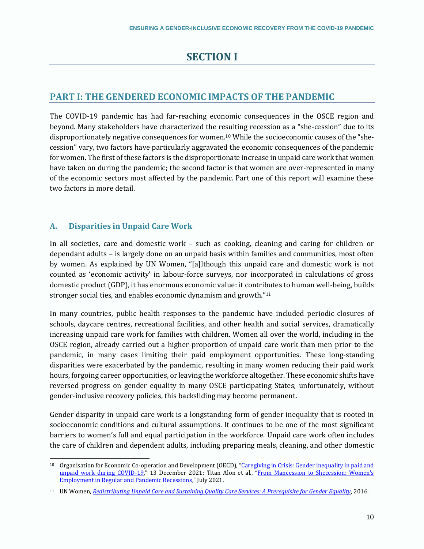## **SECTION I**

#### <span id="page-10-1"></span><span id="page-10-0"></span>**PART I: THE GENDERED ECONOMIC IMPACTS OF THE PANDEMIC**

The COVID-19 pandemic has had far-reaching economic consequences in the OSCE region and beyond. Many stakeholders have characterized the resulting recession as a "she-cession" due to its disproportionately negative consequences for women.<sup>10</sup> While the socioeconomic causes of the "shecession" vary, two factors have particularly aggravated the economic consequences of the pandemic for women. The first of these factors is the disproportionate increase in unpaid care work that women have taken on during the pandemic; the second factor is that women are over-represented in many of the economic sectors most affected by the pandemic. Part one of this report will examine these two factors in more detail.

#### <span id="page-10-2"></span>**A. Disparities in Unpaid Care Work**

In all societies, care and domestic work – such as cooking, cleaning and caring for children or dependant adults – is largely done on an unpaid basis within families and communities, most often by women. As explained by UN Women, "[a]lthough this unpaid care and domestic work is not counted as 'economic activity' in labour-force surveys, nor incorporated in calculations of gross domestic product (GDP), it has enormous economic value: it contributes to human well-being, builds stronger social ties, and enables economic dynamism and growth."<sup>11</sup>

In many countries, public health responses to the pandemic have included periodic closures of schools, daycare centres, recreational facilities, and other health and social services, dramatically increasing unpaid care work for families with children. Women all over the world, including in the OSCE region, already carried out a higher proportion of unpaid care work than men prior to the pandemic, in many cases limiting their paid employment opportunities. These long-standing disparities were exacerbated by the pandemic, resulting in many women reducing their paid work hours, forgoing career opportunities, or leaving the workforce altogether. These economic shifts have reversed progress on gender equality in many OSCE participating States; unfortunately, without gender-inclusive recovery policies, this backsliding may become permanent.

Gender disparity in unpaid care work is a longstanding form of gender inequality that is rooted in socioeconomic conditions and cultural assumptions. It continues to be one of the most significant barriers to women's full and equal participation in the workforce. Unpaid care work often includes the care of children and dependent adults, including preparing meals, cleaning, and other domestic

<sup>&</sup>lt;sup>10</sup> Organisation for Economic Co-operation and Development (OECD), "Caregiving in Crisis: Gender inequality in paid and [unpaid work during COVID-19](https://www.oecd.org/coronavirus/policy-responses/caregiving-in-crisis-gender-inequality-in-paid-and-unpaid-work-during-covid-19-3555d164/)," 13 December 2021; Titan Alon et al., "From Mancession to Shecession: Women's [Employment in Regular and Pandemic Recessions](https://ftp.iza.org/dp14223.pdf)," July 2021.

<sup>11</sup> UN Women, *[Redistributing Unpaid Care and Sustaining Quality Care Services: A Prerequisite for Gender Equality](https://www.unwomen.org/sites/default/files/Headquarters/Attachments/Sections/Library/Publications/2016/UN-Women-Policy-brief-05-Redistributing-unpaid-care-en.pdf)*, 2016.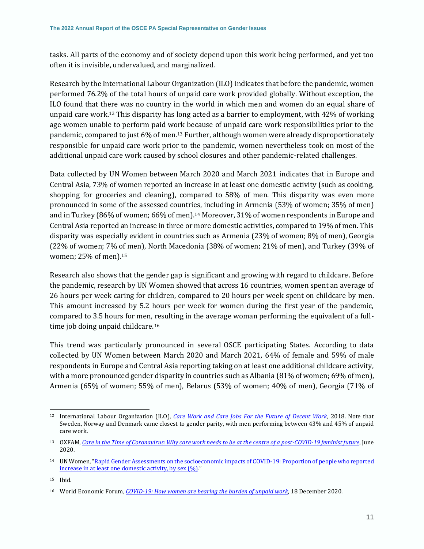tasks. All parts of the economy and of society depend upon this work being performed, and yet too often it is invisible, undervalued, and marginalized.

Research by the International Labour Organization (ILO) indicates that before the pandemic, women performed 76.2% of the total hours of unpaid care work provided globally. Without exception, the ILO found that there was no country in the world in which men and women do an equal share of unpaid care work. <sup>12</sup> This disparity has long acted as a barrier to employment, with 42% of working age women unable to perform paid work because of unpaid care work responsibilities prior to the pandemic, compared to just 6% of men.<sup>13</sup> Further, although women were already disproportionately responsible for unpaid care work prior to the pandemic, women nevertheless took on most of the additional unpaid care work caused by school closures and other pandemic-related challenges.

Data collected by UN Women between March 2020 and March 2021 indicates that in Europe and Central Asia, 73% of women reported an increase in at least one domestic activity (such as cooking, shopping for groceries and cleaning), compared to 58% of men. This disparity was even more pronounced in some of the assessed countries, including in Armenia (53% of women; 35% of men) and in Turkey (86% of women; 66% of men). <sup>14</sup> Moreover, 31% of women respondents in Europe and Central Asia reported an increase in three or more domestic activities, compared to 19% of men. This disparity was especially evident in countries such as Armenia (23% of women; 8% of men), Georgia (22% of women; 7% of men), North Macedonia (38% of women; 21% of men), and Turkey (39% of women; 25% of men). 15

Research also shows that the gender gap is significant and growing with regard to childcare. Before the pandemic, research by UN Women showed that across 16 countries, women spent an average of 26 hours per week caring for children, compared to 20 hours per week spent on childcare by men. This amount increased by 5.2 hours per week for women during the first year of the pandemic, compared to 3.5 hours for men, resulting in the average woman performing the equivalent of a fulltime job doing unpaid childcare.<sup>16</sup>

This trend was particularly pronounced in several OSCE participating States. According to data collected by UN Women between March 2020 and March 2021, 64% of female and 59% of male respondents in Europe and Central Asia reporting taking on at least one additional childcare activity, with a more pronounced gender disparity in countries such as Albania (81% of women; 69% of men), Armenia (65% of women; 55% of men), Belarus (53% of women; 40% of men), Georgia (71% of

<sup>12</sup> International Labour Organization (ILO), *[Care Work and Care Jobs For the Future of Decent Work](https://www.ilo.org/wcmsp5/groups/public/---dgreports/---dcomm/---publ/documents/publication/wcms_633135.pdf)*, 2018. Note that Sweden, Norway and Denmark came closest to gender parity, with men performing between 43% and 45% of unpaid care work.

<sup>13</sup> OXFAM, *[Care in the Time of Coronavirus: Why care work needs to be at the centre of a post-COVID-19 feminist future](https://oxfamilibrary.openrepository.com/bitstream/handle/10546/621009/bp-care-crisis-time-for-global-reevaluation-care-250620-en.pdf;jsessionid=E32C494EF4B01150850925168056F77F?sequence=13)*, June 2020.

<sup>14</sup> UN Women, "Rapid Gender Assessments [on the socioeconomic impacts of COVID-19: Proportion of people who reported](https://data.unwomen.org/rga)  increase in at least one domestic activity, by sex  $(\%)$ ."

<sup>15</sup> Ibid.

<sup>16</sup> World Economic Forum, *[COVID-19: How women are bearing the burden of unpaid work](https://www.weforum.org/agenda/2020/12/covid-women-workload-domestic-caring/)*, 18 December 2020.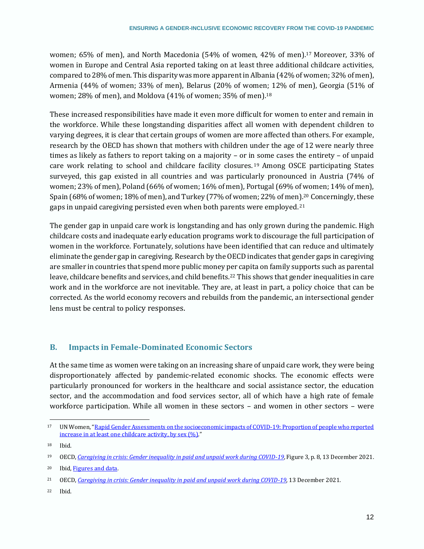women; 65% of men), and North Macedonia (54% of women, 42% of men). <sup>17</sup> Moreover, 33% of women in Europe and Central Asia reported taking on at least three additional childcare activities, compared to 28% of men. This disparity was more apparent in Albania (42% of women; 32% of men), Armenia (44% of women; 33% of men), Belarus (20% of women; 12% of men), Georgia (51% of women; 28% of men), and Moldova (41% of women; 35% of men). 18

These increased responsibilities have made it even more difficult for women to enter and remain in the workforce. While these longstanding disparities affect all women with dependent children to varying degrees, it is clear that certain groups of women are more affected than others. For example, research by the OECD has shown that mothers with children under the age of 12 were nearly three times as likely as fathers to report taking on a majority – or in some cases the entirety – of unpaid care work relating to school and childcare facility closures. <sup>19</sup> Among OSCE participating States surveyed, this gap existed in all countries and was particularly pronounced in Austria (74% of women; 23% of men), Poland (66% of women; 16% of men), Portugal (69% of women; 14% of men), Spain (68% of women; 18% of men), and Turkey (77% of women; 22% of men). <sup>20</sup> Concerningly, these gaps in unpaid caregiving persisted even when both parents were employed.<sup>21</sup>

The gender gap in unpaid care work is longstanding and has only grown during the pandemic. High childcare costs and inadequate early education programs work to discourage the full participation of women in the workforce. Fortunately, solutions have been identified that can reduce and ultimately eliminate the gender gap in caregiving. Research by the OECD indicates that gender gaps in caregiving are smaller in countries that spend more public money per capita on family supports such as parental leave, childcare benefits and services, and child benefits. <sup>22</sup> This shows that gender inequalities in care work and in the workforce are not inevitable. They are, at least in part, a policy choice that can be corrected. As the world economy recovers and rebuilds from the pandemic, an intersectional gender lens must be central to policy responses.

#### <span id="page-12-0"></span>**B. Impacts in Female-Dominated Economic Sectors**

At the same time as women were taking on an increasing share of unpaid care work, they were being disproportionately affected by pandemic-related economic shocks. The economic effects were particularly pronounced for workers in the healthcare and social assistance sector, the education sector, and the accommodation and food services sector, all of which have a high rate of female workforce participation. While all women in these sectors – and women in other sectors – were

<sup>17</sup> UN Women, "Rapid Gender Assessments [on the socioeconomic impacts of COVID-19: Proportion of people who reported](https://data.unwomen.org/rga)  [increase in at least one childcare](https://data.unwomen.org/rga) activity, by sex (%)."

<sup>18</sup> Ibid.

<sup>19</sup> OECD, *[Caregiving in crisis: Gender inequality in paid and unpaid work during COVID-19](https://www.oecd.org/coronavirus/policy-responses/caregiving-in-crisis-gender-inequality-in-paid-and-unpaid-work-during-covid-19-3555d164/)*, Figure 3, p. 8, 13 December 2021.

<sup>20</sup> Ibid, [Figures and data.](https://www.oecd.org/social/soc/OECD2021-COVID-Caregiving-RTM-Figures-and-Data.xlsx) 

<sup>21</sup> OECD, *[Caregiving in crisis: Gender inequality in paid and unpaid work during COVID-19](https://www.oecd.org/coronavirus/policy-responses/caregiving-in-crisis-gender-inequality-in-paid-and-unpaid-work-during-covid-19-3555d164/)*, 13 December 2021.

<sup>22</sup> Ibid.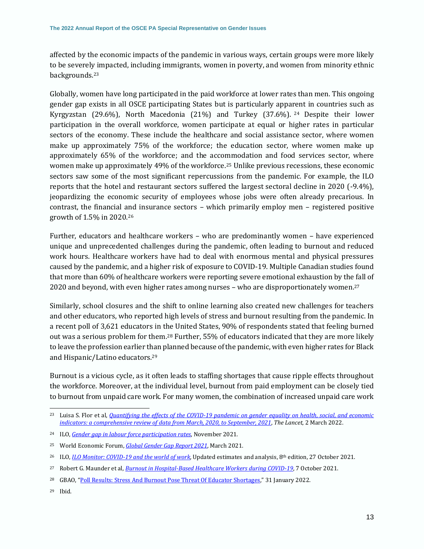affected by the economic impacts of the pandemic in various ways, certain groups were more likely to be severely impacted, including immigrants, women in poverty, and women from minority ethnic backgrounds.<sup>23</sup>

Globally, women have long participated in the paid workforce at lower rates than men. This ongoing gender gap exists in all OSCE participating States but is particularly apparent in countries such as Kyrgyzstan (29.6%), North Macedonia (21%) and Turkey (37.6%). <sup>24</sup> Despite their lower participation in the overall workforce, women participate at equal or higher rates in particular sectors of the economy. These include the healthcare and social assistance sector, where women make up approximately 75% of the workforce; the education sector, where women make up approximately 65% of the workforce; and the accommodation and food services sector, where women make up approximately 49% of the workforce.<sup>25</sup> Unlike previous recessions, these economic sectors saw some of the most significant repercussions from the pandemic. For example, the ILO reports that the hotel and restaurant sectors suffered the largest sectoral decline in 2020 (-9.4%), jeopardizing the economic security of employees whose jobs were often already precarious. In contrast, the financial and insurance sectors – which primarily employ men – registered positive growth of 1.5% in 2020.<sup>26</sup>

Further, educators and healthcare workers – who are predominantly women – have experienced unique and unprecedented challenges during the pandemic, often leading to burnout and reduced work hours. Healthcare workers have had to deal with enormous mental and physical pressures caused by the pandemic, and a higher risk of exposure to COVID-19. Multiple Canadian studies found that more than 60% of healthcare workers were reporting severe emotional exhaustion by the fall of 2020 and beyond, with even higher rates among nurses - who are disproportionately women.<sup>27</sup>

Similarly, school closures and the shift to online learning also created new challenges for teachers and other educators, who reported high levels of stress and burnout resulting from the pandemic. In a recent poll of 3,621 educators in the United States, 90% of respondents stated that feeling burned out was a serious problem for them.<sup>28</sup> Further, 55% of educators indicated that they are more likely to leave the profession earlier than planned because of the pandemic, with even higher rates for Black and Hispanic/Latino educators.<sup>29</sup>

Burnout is a vicious cycle, as it often leads to staffing shortages that cause ripple effects throughout the workforce. Moreover, at the individual level, burnout from paid employment can be closely tied to burnout from unpaid care work. For many women, the combination of increased unpaid care work

<sup>23</sup> Luisa S. Flor et al, *[Quantifying the effects of the COVID-19 pandemic on gender equality on health, social, and economic](https://www.thelancet.com/journals/lancet/article/PIIS0140-6736(22)00008-3/fulltext)  [indicators: a comprehensive review of data from March, 2020, to September, 2021](https://www.thelancet.com/journals/lancet/article/PIIS0140-6736(22)00008-3/fulltext)*, *The Lancet*, 2 March 2022.

<sup>24</sup> ILO, *[Gender gap in labour force participation rates](https://www.ilo.org/infostories/en-GB/Stories/Employment/barriers-women#global-gap/gap-labour-force)*, November 2021.

<sup>25</sup> World Economic Forum, *[Global Gender Gap Report 2021](https://www3.weforum.org/docs/WEF_GGGR_2021.pdf)*, March 2021.

<sup>&</sup>lt;sup>26</sup> ILO, *[ILO Monitor: COVID-19 and the world of work](https://www.ilo.org/wcmsp5/groups/public/---dgreports/---dcomm/documents/briefingnote/wcms_824092.pdf)*, Updated estimates and analysis, 8<sup>th</sup> edition, 27 October 2021.

<sup>27</sup> Robert G. Maunder et al, *[Burnout in Hospital-Based Healthcare Workers during COVID-19](https://covid19-sciencetable.ca/sciencebrief/burnout-in-hospital-based-healthcare-workers-during-covid-19/)*, 7 October 2021.

<sup>&</sup>lt;sup>28</sup> GBAO, "[Poll Results: Stress And Burnout Pose Threat Of Educator Shortages](https://www.nea.org/sites/default/files/2022-02/NEA%20Member%20COVID-19%20Survey%20Summary.pdf)," 31 January 2022.

<sup>29</sup> Ibid.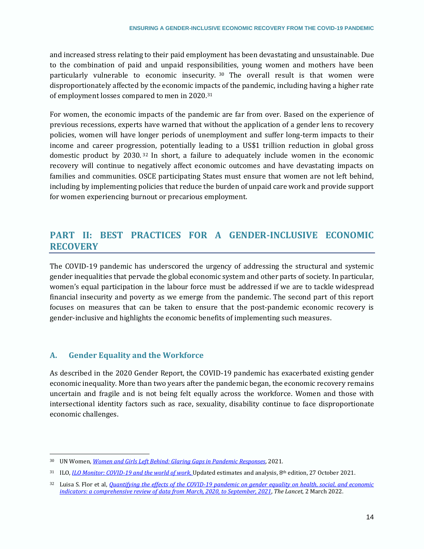and increased stress relating to their paid employment has been devastating and unsustainable. Due to the combination of paid and unpaid responsibilities, young women and mothers have been particularly vulnerable to economic insecurity. <sup>30</sup> The overall result is that women were disproportionately affected by the economic impacts of the pandemic, including having a higher rate of employment losses compared to men in 2020.<sup>31</sup>

For women, the economic impacts of the pandemic are far from over. Based on the experience of previous recessions, experts have warned that without the application of a gender lens to recovery policies, women will have longer periods of unemployment and suffer long-term impacts to their income and career progression, potentially leading to a US\$1 trillion reduction in global gross domestic product by 2030. <sup>32</sup> In short, a failure to adequately include women in the economic recovery will continue to negatively affect economic outcomes and have devastating impacts on families and communities. OSCE participating States must ensure that women are not left behind, including by implementing policies that reduce the burden of unpaid care work and provide support for women experiencing burnout or precarious employment.

#### <span id="page-14-0"></span>**PART II: BEST PRACTICES FOR A GENDER-INCLUSIVE ECONOMIC RECOVERY**

The COVID-19 pandemic has underscored the urgency of addressing the structural and systemic gender inequalities that pervade the global economic system and other parts of society. In particular, women's equal participation in the labour force must be addressed if we are to tackle widespread financial insecurity and poverty as we emerge from the pandemic. The second part of this report focuses on measures that can be taken to ensure that the post-pandemic economic recovery is gender-inclusive and highlights the economic benefits of implementing such measures.

#### <span id="page-14-1"></span>**A. Gender Equality and the Workforce**

As described in the 2020 Gender Report, the COVID-19 pandemic has exacerbated existing gender economic inequality. More than two years after the pandemic began, the economic recovery remains uncertain and fragile and is not being felt equally across the workforce. Women and those with intersectional identity factors such as race, sexuality, disability continue to face disproportionate economic challenges.

<sup>30</sup> UN Women, *[Women and Girls Left Behind: Glaring Gaps in Pandemic Responses](https://data.unwomen.org/sites/default/files/documents/Publications/glaring-gaps-response-RGA.pdf)*, 2021.

<sup>31</sup> ILO, *[ILO Monitor: COVID-19 and the world of work,](https://www.ilo.org/wcmsp5/groups/public/---dgreports/---dcomm/documents/briefingnote/wcms_824092.pdf)* Updated estimates and analysis, 8th edition, 27 October 2021.

<sup>32</sup> Luisa S. Flor et al, *[Quantifying the effects of the COVID-19 pandemic on gender equality on health, social, and economic](https://www.thelancet.com/journals/lancet/article/PIIS0140-6736(22)00008-3/fulltext)  [indicators: a comprehensive review of data from March, 2020, to September, 2021](https://www.thelancet.com/journals/lancet/article/PIIS0140-6736(22)00008-3/fulltext)*, *The Lancet*, 2 March 2022.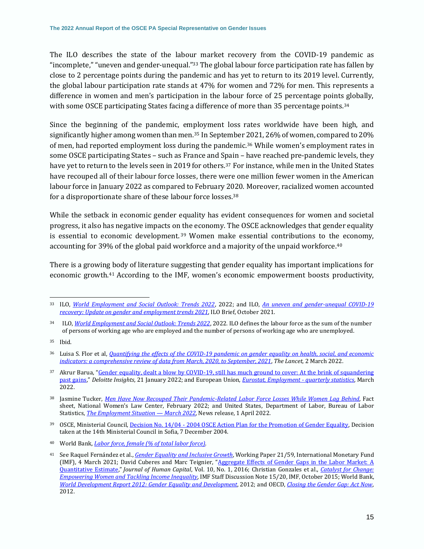The ILO describes the state of the labour market recovery from the COVID-19 pandemic as "incomplete," "uneven and gender-unequal."<sup>33</sup> The global labour force participation rate has fallen by close to 2 percentage points during the pandemic and has yet to return to its 2019 level. Currently, the global labour participation rate stands at 47% for women and 72% for men. This represents a difference in women and men's participation in the labour force of 25 percentage points globally, with some OSCE participating States facing a difference of more than 35 percentage points.<sup>34</sup>

Since the beginning of the pandemic, employment loss rates worldwide have been high, and significantly higher among women than men.<sup>35</sup> In September 2021, 26% of women, compared to 20% of men, had reported employment loss during the pandemic.<sup>36</sup> While women's employment rates in some OSCE participating States – such as France and Spain – have reached pre-pandemic levels, they have yet to return to the levels seen in 2019 for others.<sup>37</sup> For instance, while men in the United States have recouped all of their labour force losses, there were one million fewer women in the American labour force in January 2022 as compared to February 2020. Moreover, racialized women accounted for a disproportionate share of these labour force losses.<sup>38</sup>

While the setback in economic gender equality has evident consequences for women and societal progress, it also has negative impacts on the economy. The OSCE acknowledges that gender equality is essential to economic development. <sup>39</sup> Women make essential contributions to the economy, accounting for 39% of the global paid workforce and a majority of the unpaid workforce. 40

There is a growing body of literature suggesting that gender equality has important implications for economic growth.<sup>41</sup> According to the IMF, women's economic empowerment boosts productivity,

<sup>33</sup> ILO, *[World Employment and Social Outlook: Trends 2022](https://www.ilo.org/wcmsp5/groups/public/---dgreports/---dcomm/---publ/documents/publication/wcms_834081.pdf)*, 2022; and ILO, *[An uneven and gender-unequal COVID-19](https://www.ilo.org/wcmsp5/groups/public/---ed_emp/documents/publication/wcms_824865.pdf)  [recovery: Update on gender and employment trends 2021](https://www.ilo.org/wcmsp5/groups/public/---ed_emp/documents/publication/wcms_824865.pdf)*, ILO Brief, October 2021.

<sup>34</sup> ILO, *[World Employment and Social Outlook: Trends 2022](https://www.ilo.org/wcmsp5/groups/public/---dgreports/---dcomm/---publ/documents/publication/wcms_834081.pdf)*, 2022. ILO defines the labour force as the sum of the number of persons of working age who are employed and the number of persons of working age who are unemployed.

<sup>35</sup> Ibid.

<sup>36</sup> Luisa S. Flor et al, *[Quantifying the effects of the COVID-19 pandemic on gender equality on health, social, and economic](https://www.thelancet.com/journals/lancet/article/PIIS0140-6736(22)00008-3/fulltext)  [indicators: a comprehensive review of data from March, 2020, to September, 2021](https://www.thelancet.com/journals/lancet/article/PIIS0140-6736(22)00008-3/fulltext)*, *The Lancet*, 2 March 2022.

<sup>37</sup> Akrur Barua, "Gender equality, dealt a blow by COVID-19, still has much ground to cover: At the brink of squandering [past gains](https://www2.deloitte.com/us/en/insights/economy/impact-of-covid-on-women.html)," *Deloitte Insights*, 21 January 2022; and European Union, *[Eurostat, Employment -](https://ec.europa.eu/eurostat/statistics-explained/index.php?title=Employment_-_quarterly_statistics&oldid=553887) quarterly statistics*, March 2022.

<sup>38</sup> Jasmine Tucker, *[Men Have Now Recouped Their Pandemic-Related Labor](https://nwlc.org/wp-content/uploads/2022/02/January-Jobs-Day-updated.pdf) Force Losses While Women Lag Behind*, Fact sheet, National Women's Law Center, February 2022; and United States, Department of Labor, Bureau of Labor Statistics, *[The Employment Situation](https://www.bls.gov/news.release/archives/empsit_04012022.pdf) — March 2022*, News release, 1 April 2022.

<sup>39</sup> OSCE, Ministerial Council, Decision No. 14/04 - [2004 OSCE Action Plan for the Promotion of Gender Equality,](https://www.osce.org/mc/23295) Decision taken at the 14th Ministerial Council in Sofia, 7 December 2004.

<sup>40</sup> World Bank, *[Labor force, female \(% of total labor force\)](https://data.worldbank.org/indicator/SL.TLF.TOTL.FE.ZS)*.

<sup>41</sup> See Raquel Fernández et al., *[Gender Equality and Inclusive Growth](https://www.imf.org/en/Publications/WP/Issues/2021/03/03/Gender-Equality-and-Inclusive-Growth-50147)*, Working Paper 21/59, International Monetary Fund (IMF), 4 March 2021; David Cuberes and Marc Teignier, "[Aggregate Effects of Gender Gaps in the Labor Market: A](https://www.journals.uchicago.edu/doi/full/10.1086/683847)  [Quantitative Estimate](https://www.journals.uchicago.edu/doi/full/10.1086/683847)," *Journal of Human Capital*, Vol. 10, No. 1, 2016; Christian Gonzales et al., *[Catalyst for Change:](https://www.imf.org/external/pubs/ft/sdn/2015/sdn1520.pdf)  [Empowering Women and Tackling Income Inequality](https://www.imf.org/external/pubs/ft/sdn/2015/sdn1520.pdf)*, IMF Staff Discussion Note 15/20, IMF, October 2015; World Bank, *[World Development Report 2012: Gender Equality and Development](http://hdl.handle.net/10986/4391)*, 2012; and OECD, *[Closing the Gender Gap: Act Now](https://www.oecd-ilibrary.org/social-issues-migration-health/close-the-gender-gap-now_9789264179370-en)*, 2012.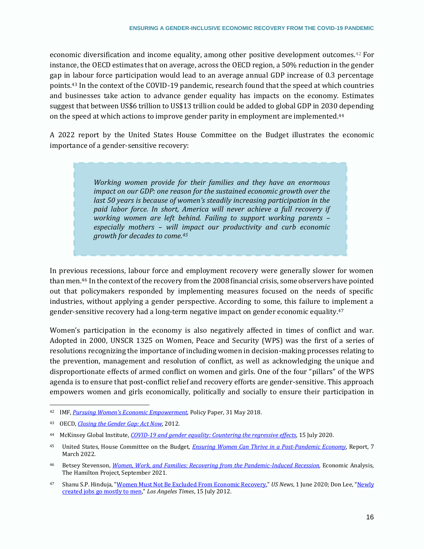economic diversification and income equality, among other positive development outcomes.<sup>42</sup> For instance, the OECD estimates that on average, across the OECD region, a 50% reduction in the gender gap in labour force participation would lead to an average annual GDP increase of 0.3 percentage points. <sup>43</sup> In the context of the COVID-19 pandemic, research found that the speed at which countries and businesses take action to advance gender equality has impacts on the economy. Estimates suggest that between US\$6 trillion to US\$13 trillion could be added to global GDP in 2030 depending on the speed at which actions to improve gender parity in employment are implemented.<sup>44</sup>

A 2022 report by the United States House Committee on the Budget illustrates the economic importance of a gender-sensitive recovery:

> *Working women provide for their families and they have an enormous impact on our GDP: one reason for the sustained economic growth over the last 50 years is because of women's steadily increasing participation in the paid labor force. In short, America will never achieve a full recovery if working women are left behind. Failing to support working parents – especially mothers – will impact our productivity and curb economic growth for decades to come.<sup>45</sup>*

In previous recessions, labour force and employment recovery were generally slower for women than men.<sup>46</sup> In the context of the recovery from the 2008 financial crisis, some observers have pointed out that policymakers responded by implementing measures focused on the needs of specific industries, without applying a gender perspective. According to some, this failure to implement a gender-sensitive recovery had a long-term negative impact on gender economic equality.<sup>47</sup>

Women's participation in the economy is also negatively affected in times of conflict and war. Adopted in 2000, UNSCR 1325 on Women, Peace and Security (WPS) was the first of a series of resolutions recognizing the importance of including women in decision-making processes relating to the prevention, management and resolution of conflict, as well as acknowledging the unique and disproportionate effects of armed conflict on women and girls. One of the four "pillars" of the WPS agenda is to ensure that post-conflict relief and recovery efforts are gender-sensitive. This approach empowers women and girls economically, politically and socially to ensure their participation in

<sup>42</sup> IMF, *[Pursuing Women's Economic Empowerment](https://www.imf.org/en/Publications/Policy-Papers/Issues/2018/05/31/pp053118pursuing-womens-economic-empowerment)*, Policy Paper, 31 May 2018.

<sup>43</sup> OECD, *[Closing the Gender Gap: Act Now](https://www.oecd-ilibrary.org/social-issues-migration-health/close-the-gender-gap-now_9789264179370-en)*, 2012.

<sup>44</sup> McKinsey Global Institute, *[COVID-19 and gender equality: Countering the regressive effects](https://www.mckinsey.com/featured-insights/future-of-work/covid-19-and-gender-equality-countering-the-regressive-effects)*, 15 July 2020.

<sup>45</sup> United States, House Committee on the Budget, *[Ensuring Women Can Thrive in a Post-Pandemic Economy](https://budget.house.gov/publications/report/hearing-ensuring-women-can-thrive-post-pandemic-economy)*, Report, 7 March 2022.

<sup>46</sup> Betsey Stevenson, *[Women, Work, and Families: Recovering from the Pandemic-Induced Recession,](https://www.brookings.edu/wp-content/uploads/2021/09/20210929_Hamilton_stevenson_womenWorkFamilies.pdf)* Economic Analysis, The Hamilton Project, September 2021.

<sup>47</sup> Shanu S.P. Hinduja, "[Women Must Not Be Excluded From Economic Recovery](https://www.usnews.com/news/best-countries/articles/2020-06-01/left-behind-after-2008-women-must-not-be-excluded-from-the-coronavirus-recovery)," *US News*, 1 June 2020; Don Lee, "[Newly](https://www.latimes.com/nation/la-xpm-2012-jul-15-la-fi-men-women-jobs-20120715-story.html)  [created jobs go mostly to men](https://www.latimes.com/nation/la-xpm-2012-jul-15-la-fi-men-women-jobs-20120715-story.html)," *Los Angeles Times*, 15 July 2012.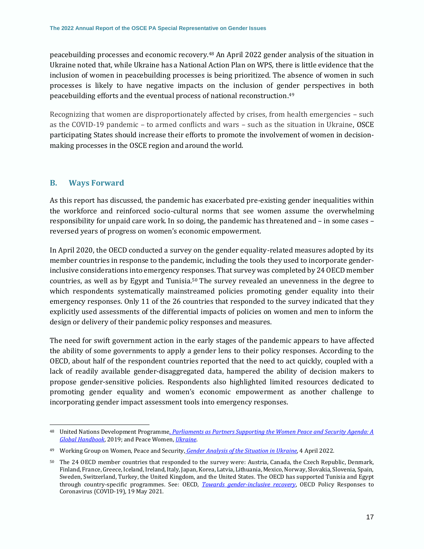peacebuilding processes and economic recovery.<sup>48</sup> An April 2022 gender analysis of the situation in Ukraine noted that, while Ukraine has a National Action Plan on WPS, there is little evidence that the inclusion of women in peacebuilding processes is being prioritized. The absence of women in such processes is likely to have negative impacts on the inclusion of gender perspectives in both peacebuilding efforts and the eventual process of national reconstruction. 49

Recognizing that women are disproportionately affected by crises, from health emergencies – such as the COVID-19 pandemic – to armed conflicts and wars – such as the situation in Ukraine, OSCE participating States should increase their efforts to promote the involvement of women in decisionmaking processes in the OSCE region and around the world.

#### <span id="page-17-0"></span>**B. Ways Forward**

As this report has discussed, the pandemic has exacerbated pre-existing gender inequalities within the workforce and reinforced socio-cultural norms that see women assume the overwhelming responsibility for unpaid care work. In so doing, the pandemic has threatened and – in some cases – reversed years of progress on women's economic empowerment.

In April 2020, the OECD conducted a survey on the gender equality-related measures adopted by its member countries in response to the pandemic, including the tools they used to incorporate genderinclusive considerations into emergency responses. That survey was completed by 24 OECD member countries, as well as by Egypt and Tunisia.<sup>50</sup> The survey revealed an unevenness in the degree to which respondents systematically mainstreamed policies promoting gender equality into their emergency responses. Only 11 of the 26 countries that responded to the survey indicated that they explicitly used assessments of the differential impacts of policies on women and men to inform the design or delivery of their pandemic policy responses and measures.

The need for swift government action in the early stages of the pandemic appears to have affected the ability of some governments to apply a gender lens to their policy responses. According to the OECD, about half of the respondent countries reported that the need to act quickly, coupled with a lack of readily available gender-disaggregated data, hampered the ability of decision makers to propose gender-sensitive policies. Respondents also highlighted limited resources dedicated to promoting gender equality and women's economic empowerment as another challenge to incorporating gender impact assessment tools into emergency responses.

<sup>48</sup> United Nations Development Programme*[, Parliaments as Partners Supporting the Women Peace and Security Agenda: A](https://www.undp.org/publications/parliament-partners-supporting-women-peace-and-security-agenda)  [Global Handbook](https://www.undp.org/publications/parliament-partners-supporting-women-peace-and-security-agenda)*, 2019; and Peace Women, *[Ukraine](http://1325naps.peacewomen.org/index.php/ukraine/)*.

<sup>49</sup> Working Group on Women, Peace and Security, *[Gender Analysis of the Situation in Ukraine](https://www.womenpeacesecurity.org/gender-analysis-situation-ukraine/)*, 4 April 2022.

<sup>50</sup> The 24 OECD member countries that responded to the survey were: Austria, Canada, the Czech Republic, Denmark, Finland, France, Greece, Iceland, Ireland, Italy, Japan, Korea, Latvia, Lithuania, Mexico, Norway, Slovakia, Slovenia, Spain, Sweden, Switzerland, Turkey, the United Kingdom, and the United States. The OECD has supported Tunisia and Egypt through country-specific programmes. See: OECD, *[Towards gender-inclusive recovery](https://www.oecd.org/coronavirus/policy-responses/towards-gender-inclusive-recovery-ab597807/)*, OECD Policy Responses to Coronavirus (COVID-19), 19 May 2021.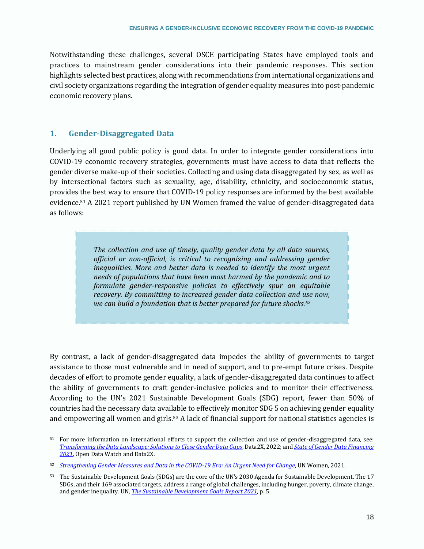Notwithstanding these challenges, several OSCE participating States have employed tools and practices to mainstream gender considerations into their pandemic responses. This section highlights selected best practices, along with recommendations from international organizations and civil society organizations regarding the integration of gender equality measures into post-pandemic economic recovery plans.

#### <span id="page-18-0"></span>**1. Gender-Disaggregated Data**

Underlying all good public policy is good data. In order to integrate gender considerations into COVID-19 economic recovery strategies, governments must have access to data that reflects the gender diverse make-up of their societies. Collecting and using data disaggregated by sex, as well as by intersectional factors such as sexuality, age, disability, ethnicity, and socioeconomic status, provides the best way to ensure that COVID-19 policy responses are informed by the best available evidence.<sup>51</sup> A 2021 report published by UN Women framed the value of gender-disaggregated data as follows:

> *The collection and use of timely, quality gender data by all data sources, official or non-official, is critical to recognizing and addressing gender inequalities. More and better data is needed to identify the most urgent needs of populations that have been most harmed by the pandemic and to formulate gender-responsive policies to effectively spur an equitable recovery. By committing to increased gender data collection and use now, we can build a foundation that is better prepared for future shocks.<sup>52</sup>*

By contrast, a lack of gender-disaggregated data impedes the ability of governments to target assistance to those most vulnerable and in need of support, and to pre-empt future crises. Despite decades of effort to promote gender equality, a lack of gender-disaggregated data continues to affect the ability of governments to craft gender-inclusive policies and to monitor their effectiveness. According to the UN's 2021 Sustainable Development Goals (SDG) report, fewer than 50% of countries had the necessary data available to effectively monitor SDG 5 on achieving gender equality and empowering all women and girls.<sup>53</sup> A lack of financial support for national statistics agencies is

<sup>51</sup> For more information on international efforts to support the collection and use of gender-disaggregated data, see: *[Transforming the Data Landscape: Solutions to Close Gender Data Gaps](https://data2x.org/wp-content/uploads/2022/04/Solutions-to-Close-Gender-Data-Gaps-FINAL.pdf)*, Data2X, 2022; and *[State of Gender Data Financing](https://data2x.org/wp-content/uploads/2021/05/State-of-Gender-Data-Financing-2021_FINAL.pdf)  [2021](https://data2x.org/wp-content/uploads/2021/05/State-of-Gender-Data-Financing-2021_FINAL.pdf)*, Open Data Watch and Data2X.

<sup>52</sup> *[Strengthening Gender Measures and Data in the COVID-19 Era: An Urgent Need for Change](https://www.unwomen.org/en/digital-library/publications/2021/03/strengthening-gender-measures-and-data-in-the-covid-19-era#view)*, UN Women, 2021.

<sup>53</sup> The Sustainable Development Goals (SDGs) are the core of the UN's 2030 Agenda for Sustainable Development. The 17 SDGs, and their 169 associated targets, address a range of global challenges, including hunger, poverty, climate change, and gender inequality. UN, *[The Sustainable Development Goals Report 2021](https://unstats.un.org/sdgs/report/2021/The-Sustainable-Development-Goals-Report-2021.pdf)*, p. 5.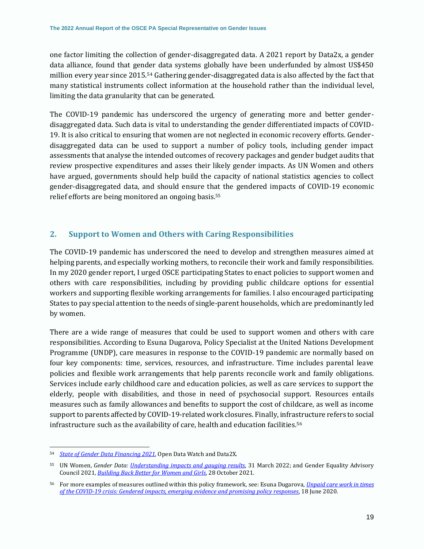one factor limiting the collection of gender-disaggregated data. A 2021 report by Data2x, a gender data alliance, found that gender data systems globally have been underfunded by almost US\$450 million every year since 2015.<sup>54</sup> Gathering gender-disaggregated data is also affected by the fact that many statistical instruments collect information at the household rather than the individual level, limiting the data granularity that can be generated.

The COVID-19 pandemic has underscored the urgency of generating more and better genderdisaggregated data. Such data is vital to understanding the gender differentiated impacts of COVID-19. It is also critical to ensuring that women are not neglected in economic recovery efforts. Genderdisaggregated data can be used to support a number of policy tools, including gender impact assessments that analyse the intended outcomes of recovery packages and gender budget audits that review prospective expenditures and asses their likely gender impacts. As UN Women and others have argued, governments should help build the capacity of national statistics agencies to collect gender-disaggregated data, and should ensure that the gendered impacts of COVID-19 economic relief efforts are being monitored an ongoing basis. 55

#### <span id="page-19-0"></span>**2. Support to Women and Others with Caring Responsibilities**

The COVID-19 pandemic has underscored the need to develop and strengthen measures aimed at helping parents, and especially working mothers, to reconcile their work and family responsibilities. In my 2020 gender report, I urged OSCE participating States to enact policies to support women and others with care responsibilities, including by providing public childcare options for essential workers and supporting flexible working arrangements for families. I also encouraged participating States to pay special attention to the needs of single-parent households, which are predominantly led by women.

There are a wide range of measures that could be used to support women and others with care responsibilities. According to Esuna Dugarova, Policy Specialist at the United Nations Development Programme (UNDP), care measures in response to the COVID-19 pandemic are normally based on four key components: time, services, resources, and infrastructure. Time includes parental leave policies and flexible work arrangements that help parents reconcile work and family obligations. Services include early childhood care and education policies, as well as care services to support the elderly, people with disabilities, and those in need of psychosocial support. Resources entails measures such as family allowances and benefits to support the cost of childcare, as well as income support to parents affected by COVID-19-related work closures. Finally, infrastructure refers to social infrastructure such as the availability of care, health and education facilities.<sup>56</sup>

<sup>54</sup> *[State of Gender Data Financing 2021](https://data2x.org/wp-content/uploads/2021/05/State-of-Gender-Data-Financing-2021_FINAL.pdf)*, Open Data Watch and Data2X.

<sup>55</sup> UN Women, *Gender Data: [Understanding impacts and gauging results](https://www.unwomen.org/en/hq-complex-page/covid-19-rebuilding-for-resilience/gender-data)*, 31 March 2022; and Gender Equality Advisory Council 2021, *[Building Back Better for Women and Girls](https://www.gov.uk/government/publications/report-of-the-g7-gender-equality-advisory-council-2021/report-of-the-g7-gender-equality-advisory-council-2021-building-back-better-for-women-and-girls)*, 28 October 2021.

<sup>56</sup> For more examples of measures outlined within this policy framework, see: Esuna Dugarova, *[Unpaid care work in times](https://www.un.org/development/desa/family/wp-content/uploads/sites/23/2020/09/Duragova.Paper_.pdf)  [of the COVID-19 crisis: Gendered impacts, emerging evidence and promising policy responses](https://www.un.org/development/desa/family/wp-content/uploads/sites/23/2020/09/Duragova.Paper_.pdf)*, 18 June 2020.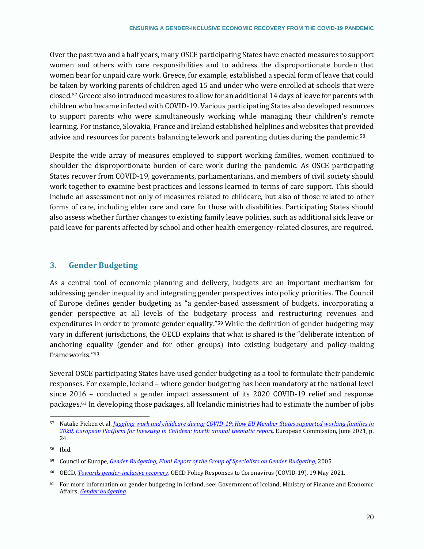Over the past two and a half years, many OSCE participating States have enacted measures to support women and others with care responsibilities and to address the disproportionate burden that women bear for unpaid care work. Greece, for example, established a special form of leave that could be taken by working parents of children aged 15 and under who were enrolled at schools that were closed.<sup>57</sup> Greece also introduced measures to allow for an additional 14 days of leave for parents with children who became infected with COVID-19. Various participating States also developed resources to support parents who were simultaneously working while managing their children's remote learning. For instance, Slovakia, France and Ireland established helplines and websites that provided advice and resources for parents balancing telework and parenting duties during the pandemic.<sup>58</sup>

Despite the wide array of measures employed to support working families, women continued to shoulder the disproportionate burden of care work during the pandemic. As OSCE participating States recover from COVID-19, governments, parliamentarians, and members of civil society should work together to examine best practices and lessons learned in terms of care support. This should include an assessment not only of measures related to childcare, but also of those related to other forms of care, including elder care and care for those with disabilities. Participating States should also assess whether further changes to existing family leave policies, such as additional sick leave or paid leave for parents affected by school and other health emergency-related closures, are required.

#### <span id="page-20-0"></span>**3. Gender Budgeting**

As a central tool of economic planning and delivery, budgets are an important mechanism for addressing gender inequality and integrating gender perspectives into policy priorities. The Council of Europe defines gender budgeting as "a gender-based assessment of budgets, incorporating a gender perspective at all levels of the budgetary process and restructuring revenues and expenditures in order to promote gender equality."<sup>59</sup> While the definition of gender budgeting may vary in different jurisdictions, the OECD explains that what is shared is the "deliberate intention of anchoring equality (gender and for other groups) into existing budgetary and policy-making frameworks."<sup>60</sup>

Several OSCE participating States have used gender budgeting as a tool to formulate their pandemic responses. For example, Iceland – where gender budgeting has been mandatory at the national level since 2016 – conducted a gender impact assessment of its 2020 COVID-19 relief and response packages.<sup>61</sup> In developing those packages, all Icelandic ministries had to estimate the number of jobs

<sup>57</sup> Natalie Picken et al, *[Juggling work and childcare during COVID-19: How EU Member States supported working families in](https://ec.europa.eu/social/main.jsp?catId=738&langId=en&pubId=8442)  [2020, European Platform for Investing in Children: fourth annual thematic report,](https://ec.europa.eu/social/main.jsp?catId=738&langId=en&pubId=8442)* European Commission, June 2021, p. 24.

<sup>58</sup> Ibid.

<sup>59</sup> Council of Europe, *[Gender Budgeting, Final Report of the Group of Specialists on Gender Budgeting,](https://rm.coe.int/1680596143#:~:text=Gender%20budgeting%20is%20an%20application,order%20to%20promote%20gender%20equality.)* 2005.

<sup>60</sup> OECD, *[Towards gender-inclusive recovery](https://www.oecd.org/coronavirus/policy-responses/towards-gender-inclusive-recovery-ab597807/)*, OECD Policy Responses to Coronavirus (COVID-19), 19 May 2021.

<sup>61</sup> For more information on gender budgeting in Iceland, see: Government of Iceland, Ministry of Finance and Economic Affairs, *[Gender budgeting.](https://www.government.is/topics/economic-affairs-and-public-finances/gender-budgeting/)*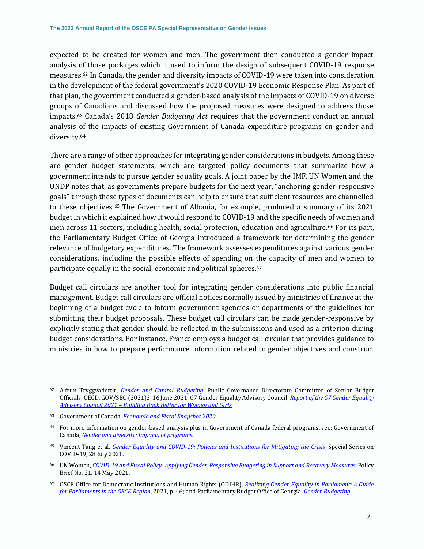expected to be created for women and men. The government then conducted a gender impact analysis of those packages which it used to inform the design of subsequent COVID-19 response measures.<sup>62</sup> In Canada, the gender and diversity impacts of COVID-19 were taken into consideration in the development of the federal government's 2020 COVID-19 Economic Response Plan. As part of that plan, the government conducted a gender-based analysis of the impacts of COVID-19 on diverse groups of Canadians and discussed how the proposed measures were designed to address those impacts.<sup>63</sup> Canada's 2018 *Gender Budgeting Act* requires that the government conduct an annual analysis of the impacts of existing Government of Canada expenditure programs on gender and diversity.<sup>64</sup>

There are a range of other approaches for integrating gender considerations in budgets. Among these are gender budget statements, which are targeted policy documents that summarize how a government intends to pursue gender equality goals. A joint paper by the IMF, UN Women and the UNDP notes that, as governments prepare budgets for the next year, "anchoring gender-responsive goals" through these types of documents can help to ensure that sufficient resources are channelled to these objectives.<sup>65</sup> The Government of Albania, for example, produced a summary of its 2021 budget in which it explained how it would respond to COVID-19 and the specific needs of women and men across 11 sectors, including health, social protection, education and agriculture.<sup>66</sup> For its part, the Parliamentary Budget Office of Georgia introduced a framework for determining the gender relevance of budgetary expenditures. The framework assesses expenditures against various gender considerations, including the possible effects of spending on the capacity of men and women to participate equally in the social, economic and political spheres.<sup>67</sup>

Budget call circulars are another tool for integrating gender considerations into public financial management. Budget call circulars are official notices normally issued by ministries of finance at the beginning of a budget cycle to inform government agencies or departments of the guidelines for submitting their budget proposals. These budget call circulars can be made gender-responsive by explicitly stating that gender should be reflected in the submissions and used as a criterion during budget considerations. For instance, France employs a budget call circular that provides guidance to ministries in how to prepare performance information related to gender objectives and construct

<sup>62</sup> Alfrun Tryggvadottir, *[Gender and Capital Budgeting](https://www.oecd.org/officialdocuments/publicdisplaydocumentpdf/?cote=GOV/SBO(2021)3&docLanguage=En)*, Public Governance Directorate Committee of Senior Budget Officials, OECD, GOV/SBO (2021)3, 16 June 2021; G7 Gender Equality Advisory Council, *[Report of the G7 Gender Equality](https://assets.publishing.service.gov.uk/government/uploads/system/uploads/attachment_data/file/1028387/Report_of_the_G7_Gender_Equality_Advisory_Council_2021-_Building_Back_Better_for_Women_and_Girls_.pdf)  Advisory Council 2021 – [Building Back Better for Women and Girls](https://assets.publishing.service.gov.uk/government/uploads/system/uploads/attachment_data/file/1028387/Report_of_the_G7_Gender_Equality_Advisory_Council_2021-_Building_Back_Better_for_Women_and_Girls_.pdf)*.

<sup>63</sup> Government of Canada, *[Economic and Fiscal Snapshot 2020.](https://www.canada.ca/content/dam/fin/publications/efs-peb/homepage/EFS2020-eng.pdf)*

<sup>64</sup> For more information on gender-based analysis plus in Government of Canada federal programs, see: Government of Canada, *[Gender and diversity: Impacts of programs.](https://www.canada.ca/en/government/system/transparency/gender-diversity-impacts-programs.html)*

<sup>65</sup> Vincent Tang et al, *[Gender Equality and COVID-19: Policies and Institutions for Mitigating the Crisis](https://www.imf.org/-/media/Files/Publications/covid19-special-notes/en-special-series-on-covid-19-gender-equality-and-covid-19.ashx)*, Special Series on COVID-19, 28 July 2021.

<sup>66</sup> UN Women, *[COVID-19 and Fiscal Policy: Applying Gender-Responsive Budgeting in Support and Recovery Measures](https://www.unwomen.org/sites/default/files/Headquarters/Attachments/Sections/Library/Publications/2021/Policy-brief-COVID-19-and-fiscal-policy-en.pdf)*, Policy Brief No. 21, 14 May 2021.

<sup>67</sup> OSCE Office for Democratic Institutions and Human Rights (ODIHR), *[Realizing Gender Equality in Parliament: A Guide](https://www.osce.org/odihr/506885)  [for Parliaments in the OSCE Region](https://www.osce.org/odihr/506885)*, 2021, p. 46; and Parliamentary Budget Office of Georgia, *[Gender Budgeting.](http://pbo.parliament.ge/publications/research-publications/item/Gender%20Budgeting.html)*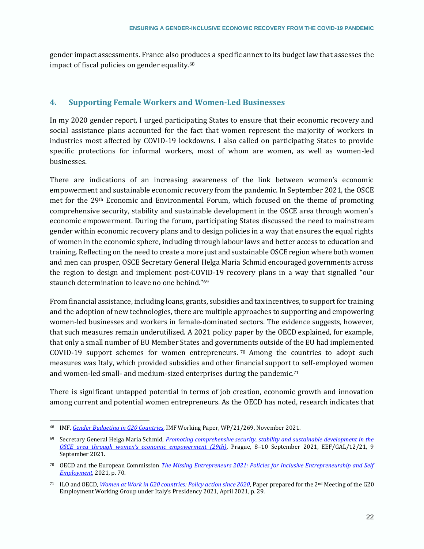gender impact assessments. France also produces a specific annex to its budget law that assesses the impact of fiscal policies on gender equality. 68

#### <span id="page-22-0"></span>**4. Supporting Female Workers and Women-Led Businesses**

In my 2020 gender report, I urged participating States to ensure that their economic recovery and social assistance plans accounted for the fact that women represent the majority of workers in industries most affected by COVID-19 lockdowns. I also called on participating States to provide specific protections for informal workers, most of whom are women, as well as women-led businesses.

There are indications of an increasing awareness of the link between women's economic empowerment and sustainable economic recovery from the pandemic. In September 2021, the OSCE met for the 29th Economic and Environmental Forum, which focused on the theme of promoting comprehensive security, stability and sustainable development in the OSCE area through women's economic empowerment. During the forum, participating States discussed the need to mainstream gender within economic recovery plans and to design policies in a way that ensures the equal rights of women in the economic sphere, including through labour laws and better access to education and training. Reflecting on the need to create a more just and sustainable OSCE region where both women and men can prosper, OSCE Secretary General Helga Maria Schmid encouraged governments across the region to design and implement post-COVID-19 recovery plans in a way that signalled "our staunch determination to leave no one behind."<sup>69</sup>

From financial assistance, including loans, grants, subsidies and tax incentives, to support for training and the adoption of new technologies, there are multiple approaches to supporting and empowering women-led businesses and workers in female-dominated sectors. The evidence suggests, however, that such measures remain underutilized. A 2021 policy paper by the OECD explained, for example, that only a small number of EU Member States and governments outside of the EU had implemented COVID-19 support schemes for women entrepreneurs.<sup>70</sup> Among the countries to adopt such measures was Italy, which provided subsidies and other financial support to self-employed women and women-led small- and medium-sized enterprises during the pandemic.<sup>71</sup>

There is significant untapped potential in terms of job creation, economic growth and innovation among current and potential women entrepreneurs. As the OECD has noted, research indicates that

<sup>68</sup> IMF, *[Gender Budgeting in G20 Countries,](file://///hoc-cdc.ca/AdminPrivate/FS06U/HermoB/Downloads/wpiea2021269-print-pdf.pdf)* IMF Working Paper, WP/21/269, November 2021.

<sup>69</sup> Secretary General Helga Maria Schmid, *[Promoting comprehensive security, stability and sustainable development in the](https://www.osce.org/files/f/documents/c/7/497590.pdf)  [OSCE area through women's economic empowerment \(29th\)](https://www.osce.org/files/f/documents/c/7/497590.pdf)*, Prague, 8–10 September 2021, EEF/GAL/12/21, 9 September 2021.

<sup>70</sup> OECD and the European Commission *[The Missing Entrepreneurs 2021: Policies for Inclusive Entrepreneurship and Self](https://www.oecd-ilibrary.org/docserver/71b7a9bb-en.pdf?expires=1650229450&id=id&accname=ocid195214&checksum=734C9F3B55287849A5C451A8E187397D)  [Employment](https://www.oecd-ilibrary.org/docserver/71b7a9bb-en.pdf?expires=1650229450&id=id&accname=ocid195214&checksum=734C9F3B55287849A5C451A8E187397D)*, 2021, p. 70.

<sup>71</sup> ILO and OECD, *[Women at Work in G20 countries: Policy action since 2020](https://www.oecd.org/gender/OECD-ILO-2021-Women-at-Work-P%C3%B6licy-Action-Since-2020-G20-Italy.pdf)*, Paper prepared for the 2nd Meeting of the G20 Employment Working Group under Italy's Presidency 2021, April 2021, p. 29.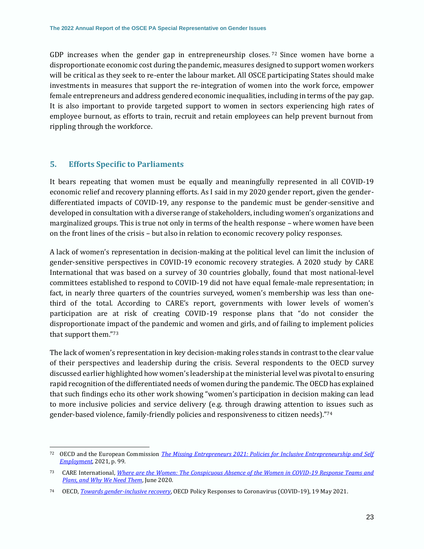GDP increases when the gender gap in entrepreneurship closes.<sup>72</sup> Since women have borne a disproportionate economic cost during the pandemic, measures designed to support women workers will be critical as they seek to re-enter the labour market. All OSCE participating States should make investments in measures that support the re-integration of women into the work force, empower female entrepreneurs and address gendered economic inequalities, including in terms of the pay gap. It is also important to provide targeted support to women in sectors experiencing high rates of employee burnout, as efforts to train, recruit and retain employees can help prevent burnout from rippling through the workforce.

#### <span id="page-23-0"></span>**5. Efforts Specific to Parliaments**

It bears repeating that women must be equally and meaningfully represented in all COVID-19 economic relief and recovery planning efforts. As I said in my 2020 gender report, given the genderdifferentiated impacts of COVID-19, any response to the pandemic must be gender-sensitive and developed in consultation with a diverse range of stakeholders, including women's organizations and marginalized groups. This is true not only in terms of the health response – where women have been on the front lines of the crisis – but also in relation to economic recovery policy responses.

A lack of women's representation in decision-making at the political level can limit the inclusion of gender-sensitive perspectives in COVID-19 economic recovery strategies. A 2020 study by CARE International that was based on a survey of 30 countries globally, found that most national-level committees established to respond to COVID-19 did not have equal female-male representation; in fact, in nearly three quarters of the countries surveyed, women's membership was less than onethird of the total. According to CARE's report, governments with lower levels of women's participation are at risk of creating COVID-19 response plans that "do not consider the disproportionate impact of the pandemic and women and girls, and of failing to implement policies that support them."<sup>73</sup>

The lack of women's representation in key decision-making roles stands in contrast to the clear value of their perspectives and leadership during the crisis. Several respondents to the OECD survey discussed earlier highlighted how women's leadership at the ministerial level was pivotal to ensuring rapid recognition of the differentiated needs of women during the pandemic. The OECD has explained that such findings echo its other work showing "women's participation in decision making can lead to more inclusive policies and service delivery (e.g. through drawing attention to issues such as gender-based violence, family-friendly policies and responsiveness to citizen needs)."<sup>74</sup>

<sup>72</sup> OECD and the European Commission *[The Missing Entrepreneurs 2021: Policies for Inclusive Entrepreneurship and Self](https://www.oecd-ilibrary.org/docserver/71b7a9bb-en.pdf?expires=1650229450&id=id&accname=ocid195214&checksum=734C9F3B55287849A5C451A8E187397D)  [Employment](https://www.oecd-ilibrary.org/docserver/71b7a9bb-en.pdf?expires=1650229450&id=id&accname=ocid195214&checksum=734C9F3B55287849A5C451A8E187397D)*, 2021, p. 99.

<sup>73</sup> CARE International, *[Where are the Women: The Conspicuous Absence of the Women in COVID-19 Response Teams and](https://www.care-international.org/files/files/CARE_COVID-19-womens-leadership-report_June-2020.pdf)  [Plans, and Why We Need Them](https://www.care-international.org/files/files/CARE_COVID-19-womens-leadership-report_June-2020.pdf)*, June 2020.

<sup>74</sup> OECD, *[Towards gender-inclusive recovery](https://www.oecd.org/coronavirus/policy-responses/towards-gender-inclusive-recovery-ab597807/)*, OECD Policy Responses to Coronavirus (COVID-19), 19 May 2021.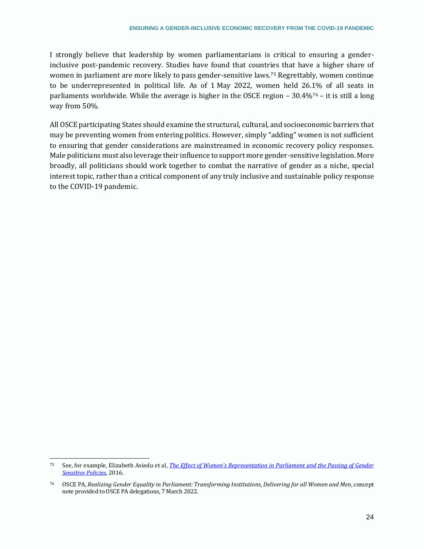I strongly believe that leadership by women parliamentarians is critical to ensuring a genderinclusive post-pandemic recovery. Studies have found that countries that have a higher share of women in parliament are more likely to pass gender-sensitive laws.<sup>75</sup> Regrettably, women continue to be underrepresented in political life. As of 1 May 2022, women held 26.1% of all seats in parliaments worldwide. While the average is higher in the OSCE region  $-30.4\%$ <sup>76</sup> – it is still a long way from 50%.

<span id="page-24-0"></span>All OSCE participating States should examine the structural, cultural, and socioeconomic barriers that may be preventing women from entering politics. However, simply "adding" women is not sufficient to ensuring that gender considerations are mainstreamed in economic recovery policy responses. Male politicians must also leverage their influence to support more gender-sensitive legislation. More broadly, all politicians should work together to combat the narrative of gender as a niche, special interest topic, rather than a critical component of any truly inclusive and sustainable policy response to the COVID-19 pandemic.

<sup>75</sup> See, for example, Elizabeth Asiedu et al, *[The Effect of Women's Representation in Parliament and the Passing of Gender](https://www.aeaweb.org/conference/2018/preliminary/paper/an5yEb5h)  [Sensitive Policies](https://www.aeaweb.org/conference/2018/preliminary/paper/an5yEb5h)*, 2016.

<sup>76</sup> OSCE PA, *Realizing Gender Equality in Parliament: Transforming Institutions, Delivering for all Women and Men*, concept note provided to OSCE PA delegations, 7 March 2022.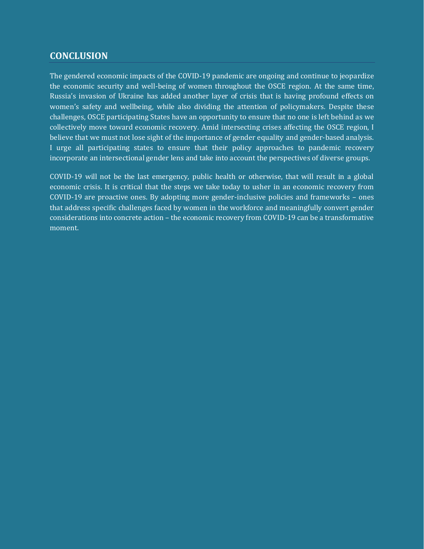#### **CONCLUSION**

The gendered economic impacts of the COVID-19 pandemic are ongoing and continue to jeopardize the economic security and well-being of women throughout the OSCE region. At the same time, Russia's invasion of Ukraine has added another layer of crisis that is having profound effects on women's safety and wellbeing, while also dividing the attention of policymakers. Despite these challenges, OSCE participating States have an opportunity to ensure that no one is left behind as we collectively move toward economic recovery. Amid intersecting crises affecting the OSCE region, I believe that we must not lose sight of the importance of gender equality and gender-based analysis. I urge all participating states to ensure that their policy approaches to pandemic recovery incorporate an intersectional gender lens and take into account the perspectives of diverse groups.

COVID-19 will not be the last emergency, public health or otherwise, that will result in a global economic crisis. It is critical that the steps we take today to usher in an economic recovery from COVID-19 are proactive ones. By adopting more gender-inclusive policies and frameworks – ones that address specific challenges faced by women in the workforce and meaningfully convert gender considerations into concrete action – the economic recovery from COVID-19 can be a transformative moment.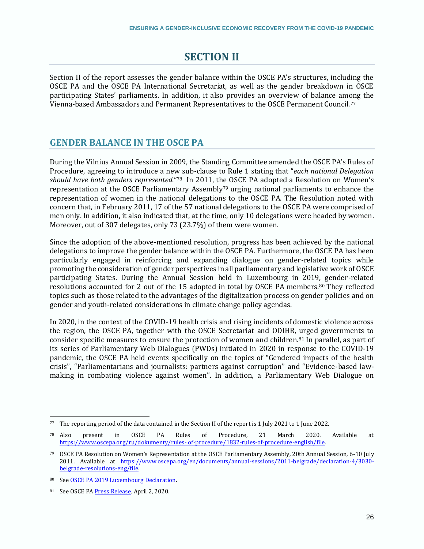## **SECTION II**

<span id="page-26-0"></span>Section II of the report assesses the gender balance within the OSCE PA's structures, including the OSCE PA and the OSCE PA International Secretariat, as well as the gender breakdown in OSCE participating States' parliaments. In addition, it also provides an overview of balance among the Vienna-based Ambassadors and Permanent Representatives to the OSCE Permanent Council.<sup>77</sup>

#### <span id="page-26-1"></span>**GENDER BALANCE IN THE OSCE PA**

During the Vilnius Annual Session in 2009, the Standing Committee amended the OSCE PA's Rules of Procedure, agreeing to introduce a new sub-clause to Rule 1 stating that "*each national Delegation should have both genders represented.*" <sup>78</sup> In 2011, the OSCE PA adopted a Resolution on Women's representation at the OSCE Parliamentary Assembly<sup>79</sup> urging national parliaments to enhance the representation of women in the national delegations to the OSCE PA. The Resolution noted with concern that, in February 2011, 17 of the 57 national delegations to the OSCE PA were comprised of men only. In addition, it also indicated that, at the time, only 10 delegations were headed by women. Moreover, out of 307 delegates, only 73 (23.7%) of them were women.

Since the adoption of the above-mentioned resolution, progress has been achieved by the national delegations to improve the gender balance within the OSCE PA. Furthermore, the OSCE PA has been particularly engaged in reinforcing and expanding dialogue on gender-related topics while promoting the consideration of gender perspectives in all parliamentary and legislative work of OSCE participating States. During the Annual Session held in Luxembourg in 2019, gender-related resolutions accounted for 2 out of the 15 adopted in total by OSCE PA members.<sup>80</sup> They reflected topics such as those related to the advantages of the digitalization process on gender policies and on gender and youth-related considerations in climate change policy agendas.

In 2020, in the context of the COVID-19 health crisis and rising incidents of domestic violence across the region, the OSCE PA, together with the OSCE Secretariat and ODIHR, urged governments to consider specific measures to ensure the protection of women and children.<sup>81</sup> In parallel, as part of its series of Parliamentary Web Dialogues (PWDs) initiated in 2020 in response to the COVID-19 pandemic, the OSCE PA held events specifically on the topics of "Gendered impacts of the health crisis", "Parliamentarians and journalists: partners against corruption" and "Evidence-based lawmaking in combating violence against women". In addition, a Parliamentary Web Dialogue on

<sup>77</sup> The reporting period of the data contained in the Section II of the report is 1 July 2021 to 1 June 2022.

<sup>78</sup> Also present in OSCE PA Rules of Procedure, 21 March 2020. Available at https://www.oscepa.org/ru/dokumenty/rules- [of-procedure/1832-rules-of-procedure-english/file.](https://www.oscepa.org/ru/dokumenty/rules-%20of-procedure/1832-rules-of-procedure-english/file)

<sup>79</sup> OSCE PA Resolution on Women's Representation at the OSCE Parliamentary Assembly, 20th Annual Session, 6-10 July 2011. Available at [https://www.oscepa.org/en/documents/annual-sessions/2011-belgrade/declaration-4/3030](https://www.oscepa.org/en/documents/annual-sessions/2011-belgrade/declaration-4/3030-belgrade-resolutions-eng/file) [belgrade-resolutions-eng/file.](https://www.oscepa.org/en/documents/annual-sessions/2011-belgrade/declaration-4/3030-belgrade-resolutions-eng/file)

<sup>80</sup> Se[e OSCE PA 2019 Luxembourg Declaration.](https://www.oscepa.org/documents/annual-sessions/2019-luxembourg/3882-luxembourg-declaration-eng/file)

<sup>81</sup> See OSCE P[A Press Release,](https://www.oscepa.org/news-a-media/press-releases/2020/protection-from-domestic-violence-urgently-needed-for-women-and-children-under-stay-at-home-orders-say-osce-officials) April 2, 2020.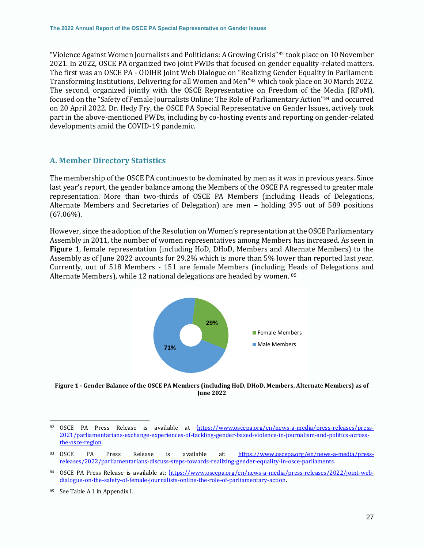"Violence Against Women Journalists and Politicians: A Growing Crisis"<sup>82</sup> took place on 10 November 2021. In 2022, OSCE PA organized two joint PWDs that focused on gender equality-related matters. The first was an OSCE PA - ODIHR Joint Web Dialogue on "Realizing Gender Equality in Parliament: Transforming Institutions, Delivering for all Women and Men"<sup>83</sup> which took place on 30 March 2022. The second, organized jointly with the OSCE Representative on Freedom of the Media (RFoM), focused on the "Safety of Female Journalists Online: The Role of Parliamentary Action"<sup>84</sup> and occurred on 20 April 2022. Dr. Hedy Fry, the OSCE PA Special Representative on Gender Issues, actively took part in the above-mentioned PWDs, including by co-hosting events and reporting on gender-related developments amid the COVID-19 pandemic.

#### <span id="page-27-0"></span>**A. Member Directory Statistics**

The membership of the OSCE PA continues to be dominated by men as it was in previous years. Since last year's report, the gender balance among the Members of the OSCE PA regressed to greater male representation. More than two-thirds of OSCE PA Members (including Heads of Delegations, Alternate Members and Secretaries of Delegation) are men – holding 395 out of 589 positions  $(67.06\%)$ .

However, since the adoption of the Resolution on Women's representation at the OSCE Parliamentary Assembly in 2011, the number of women representatives among Members has increased. As seen in **Figure 1**, female representation (including HoD, DHoD, Members and Alternate Members) to the Assembly as of June 2022 accounts for 29.2% which is more than 5% lower than reported last year. Currently, out of 518 Members - 151 are female Members (including Heads of Delegations and Alternate Members), while 12 national delegations are headed by women. <sup>85</sup>



**Figure 1 - Gender Balance of the OSCE PA Members (including HoD, DHoD, Members, Alternate Members) as of June 2022**

<sup>82</sup> OSCE PA Press Release is available at [https://www.oscepa.org/en/news-a-media/press-releases/press-](https://www.oscepa.org/en/news-a-media/press-releases/press-2021/parliamentarians-exchange-experiences-of-tackling-gender-based-violence-in-journalism-and-politics-across-the-osce-region)[2021/parliamentarians-exchange-experiences-of-tackling-gender-based-violence-in-journalism-and-politics-across](https://www.oscepa.org/en/news-a-media/press-releases/press-2021/parliamentarians-exchange-experiences-of-tackling-gender-based-violence-in-journalism-and-politics-across-the-osce-region)[the-osce-region.](https://www.oscepa.org/en/news-a-media/press-releases/press-2021/parliamentarians-exchange-experiences-of-tackling-gender-based-violence-in-journalism-and-politics-across-the-osce-region)

<sup>83</sup> OSCE PA Press Release is available at: [https://www.oscepa.org/en/news-a-media/press](https://www.oscepa.org/en/news-a-media/press-releases/2022/parliamentarians-discuss-steps-towards-realizing-gender-equality-in-osce-parliaments)[releases/2022/parliamentarians-discuss-steps-towards-realizing-gender-equality-in-osce-parliaments.](https://www.oscepa.org/en/news-a-media/press-releases/2022/parliamentarians-discuss-steps-towards-realizing-gender-equality-in-osce-parliaments)

<sup>84</sup> OSCE PA Press Release is available at: [https://www.oscepa.org/en/news-a-media/press-releases/2022/joint-web](https://www.oscepa.org/en/news-a-media/press-releases/2022/joint-web-dialogue-on-the-safety-of-female-journalists-online-the-role-of-parliamentary-action)[dialogue-on-the-safety-of-female-journalists-online-the-role-of-parliamentary-action.](https://www.oscepa.org/en/news-a-media/press-releases/2022/joint-web-dialogue-on-the-safety-of-female-journalists-online-the-role-of-parliamentary-action)

<sup>85</sup> See Table A.1 in Appendix I.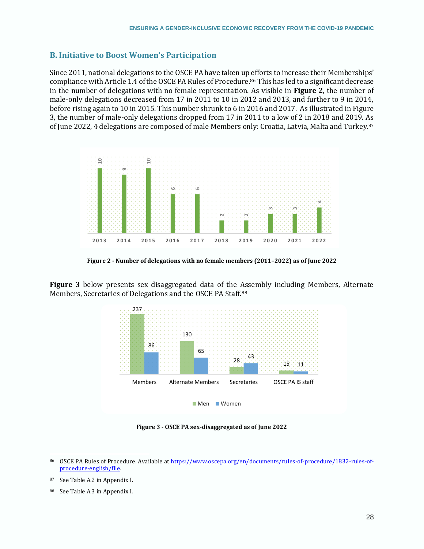#### <span id="page-28-0"></span>**B. Initiative to Boost Women's Participation**

Since 2011, national delegations to the OSCE PA have taken up efforts to increase their Memberships' compliance with Article 1.4 of the OSCE PA Rules of Procedure.<sup>86</sup> This has led to a significant decrease in the number of delegations with no female representation. As visible in **Figure 2**, the number of male-only delegations decreased from 17 in 2011 to 10 in 2012 and 2013, and further to 9 in 2014, before rising again to 10 in 2015. This number shrunk to 6 in 2016 and 2017. As illustrated in Figure 3, the number of male-only delegations dropped from 17 in 2011 to a low of 2 in 2018 and 2019. As of June 2022, 4 delegations are composed of male Members only: Croatia, Latvia, Malta and Turkey.<sup>87</sup>



**Figure 2 - Number of delegations with no female members (2011–2022) as of June 2022**

**Figure 3** below presents sex disaggregated data of the Assembly including Members, Alternate Members, Secretaries of Delegations and the OSCE PA Staff.<sup>88</sup>



**Figure 3 - OSCE PA sex-disaggregated as of June 2022**

<sup>86</sup> OSCE PA Rules of Procedure. Available a[t https://www.oscepa.org/en/documents/rules-of-procedure/1832-rules-of](https://www.oscepa.org/en/documents/rules-of-procedure/1832-rules-of-procedure-english/file)[procedure-english/file.](https://www.oscepa.org/en/documents/rules-of-procedure/1832-rules-of-procedure-english/file)

<sup>87</sup> See Table A.2 in Appendix I.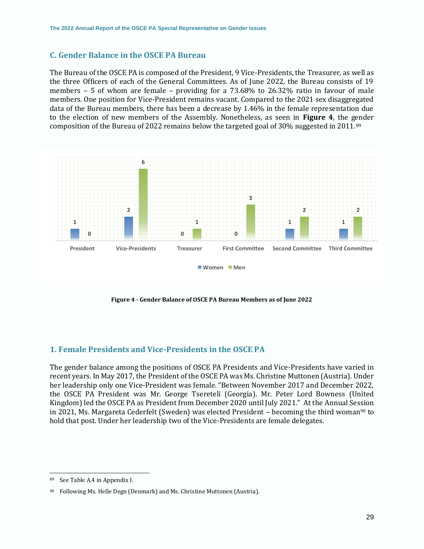#### <span id="page-29-0"></span>**C. Gender Balance in the OSCE PA Bureau**

The Bureau of the OSCE PA is composed of the President, 9 Vice-Presidents, the Treasurer, as well as the three Officers of each of the General Committees. As of June 2022, the Bureau consists of 19 members – 5 of whom are female – providing for a 73.68% to 26.32% ratio in favour of male members. One position for Vice-President remains vacant. Compared to the 2021 sex disaggregated data of the Bureau members, there has been a decrease by 1.46% in the female representation due to the election of new members of the Assembly. Nonetheless, as seen in **Figure 4**, the gender composition of the Bureau of 2022 remains below the targeted goal of 30% suggested in 2011.<sup>89</sup>



**Figure 4 - Gender Balance of OSCE PA Bureau Members as of June 2022**

#### <span id="page-29-1"></span>**1. Female Presidents and Vice-Presidents in the OSCE PA**

The gender balance among the positions of OSCE PA Presidents and Vice-Presidents have varied in recent years. In May 2017, the President of the OSCE PA was Ms. Christine Muttonen (Austria). Under her leadership only one Vice-President was female. "Between November 2017 and December 2022, the OSCE PA President was Mr. George Tsereteli (Georgia). Mr. Peter Lord Bowness (United Kingdom) led the OSCE PA as President from December 2020 until July 2021." At the Annual Session in 2021, Ms. Margareta Cederfelt (Sweden) was elected President  $-$  becoming the third woman<sup>90</sup> to hold that post. Under her leadership two of the Vice-Presidents are female delegates.

<sup>89</sup> See Table A.4 in Appendix I.

<sup>90</sup> Following Ms. Helle Degn (Denmark) and Ms. Christine Muttonen (Austria).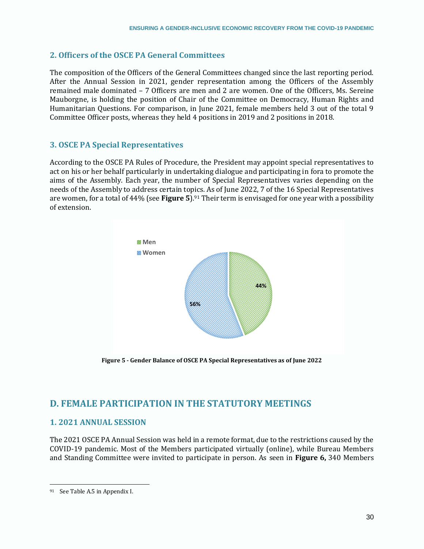#### <span id="page-30-0"></span>**2. Officers of the OSCE PA General Committees**

The composition of the Officers of the General Committees changed since the last reporting period. After the Annual Session in 2021, gender representation among the Officers of the Assembly remained male dominated – 7 Officers are men and 2 are women. One of the Officers, Ms. Sereine Mauborgne, is holding the position of Chair of the Committee on Democracy, Human Rights and Humanitarian Questions. For comparison, in June 2021, female members held 3 out of the total 9 Committee Officer posts, whereas they held 4 positions in 2019 and 2 positions in 2018.

#### <span id="page-30-1"></span>**3. OSCE PA Special Representatives**

According to the OSCE PA Rules of Procedure, the President may appoint special representatives to act on his or her behalf particularly in undertaking dialogue and participating in fora to promote the aims of the Assembly. Each year, the number of Special Representatives varies depending on the needs of the Assembly to address certain topics. As of June 2022, 7 of the 16 Special Representatives are women, for a total of 44% (see **Figure 5**).<sup>91</sup> Their term is envisaged for one year with a possibility of extension.



**Figure 5 - Gender Balance of OSCE PA Special Representatives as of June 2022**

#### <span id="page-30-2"></span>**D. FEMALE PARTICIPATION IN THE STATUTORY MEETINGS**

#### <span id="page-30-3"></span>**1. 2021 ANNUAL SESSION**

The 2021 OSCE PA Annual Session was held in a remote format, due to the restrictions caused by the COVID-19 pandemic. Most of the Members participated virtually (online), while Bureau Members and Standing Committee were invited to participate in person. As seen in **Figure 6,** 340 Members

<sup>91</sup> See Table A.5 in Appendix I.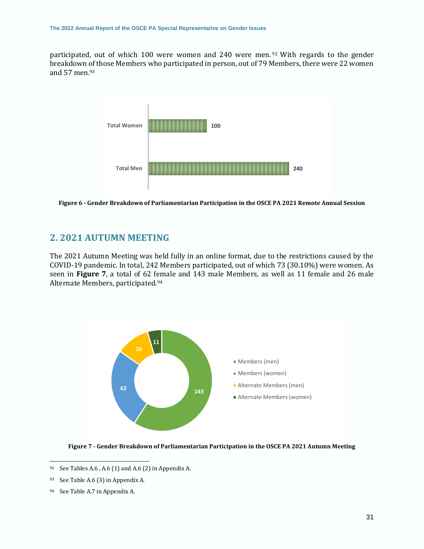participated, out of which 100 were women and 240 were men. <sup>92</sup> With regards to the gender breakdown of those Members who participated in person, out of 79 Members, there were 22 women and 57 men.<sup>93</sup>



**Figure 6 - Gender Breakdown of Parliamentarian Participation in the OSCE PA 2021 Remote Annual Session**

#### <span id="page-31-0"></span>**2. 2021 AUTUMN MEETING**

The 2021 Autumn Meeting was held fully in an online format, due to the restrictions caused by the COVID-19 pandemic. In total, 242 Members participated, out of which 73 (30.10%) were women. As seen in **Figure 7**, a total of 62 female and 143 male Members, as well as 11 female and 26 male Alternate Members, participated.<sup>94</sup>



**Figure 7 - Gender Breakdown of Parliamentarian Participation in the OSCE PA 2021 Autumn Meeting**

<sup>&</sup>lt;sup>92</sup> See Tables A.6, A.6 (1) and A.6 (2) in Appendix A.

<sup>93</sup> See Table A.6 (3) in Appendix A.

<sup>94</sup> See Table A.7 in Appendix A.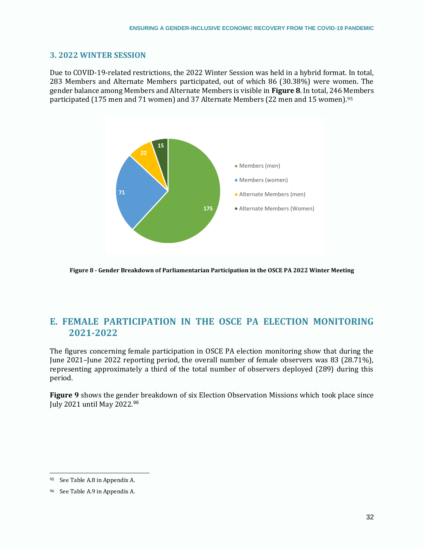#### <span id="page-32-0"></span>**3. 2022 WINTER SESSION**

Due to COVID-19-related restrictions, the 2022 Winter Session was held in a hybrid format. In total, 283 Members and Alternate Members participated, out of which 86 (30.38%) were women. The gender balance among Members and Alternate Members is visible in **Figure 8**. In total, 246 Members participated (175 men and 71 women) and 37 Alternate Members (22 men and 15 women).<sup>95</sup>



**Figure 8 - Gender Breakdown of Parliamentarian Participation in the OSCE PA 2022 Winter Meeting**

#### <span id="page-32-1"></span>**E. FEMALE PARTICIPATION IN THE OSCE PA ELECTION MONITORING 2021-2022**

The figures concerning female participation in OSCE PA election monitoring show that during the June 2021–June 2022 reporting period, the overall number of female observers was 83 (28.71%), representing approximately a third of the total number of observers deployed (289) during this period.

**Figure 9** shows the gender breakdown of six Election Observation Missions which took place since July 2021 until May 2022.<sup>96</sup>

<sup>95</sup> See Table A.8 in Appendix A.

<sup>96</sup> See Table A.9 in Appendix A.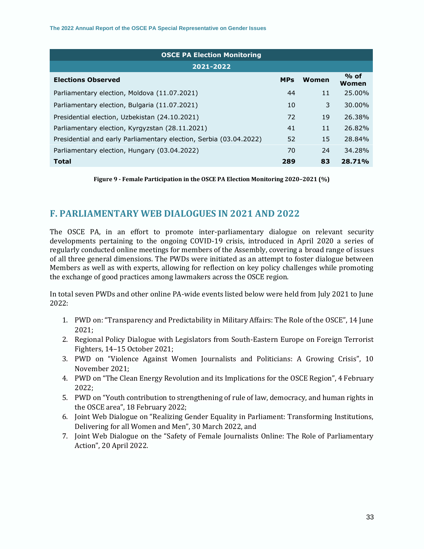| <b>OSCE PA Election Monitoring</b>                                 |            |       |                 |  |  |  |
|--------------------------------------------------------------------|------------|-------|-----------------|--|--|--|
| 2021-2022                                                          |            |       |                 |  |  |  |
| <b>Elections Observed</b>                                          | <b>MPs</b> | Women | $%$ of<br>Women |  |  |  |
| Parliamentary election, Moldova (11.07.2021)                       | 44         | 11    | 25.00%          |  |  |  |
| Parliamentary election, Bulgaria (11.07.2021)                      | 10         | 3     | 30.00%          |  |  |  |
| Presidential election, Uzbekistan (24.10.2021)                     | 72         | 19    | 26.38%          |  |  |  |
| Parliamentary election, Kyrgyzstan (28.11.2021)                    | 41         | 11    | 26.82%          |  |  |  |
| Presidential and early Parliamentary election, Serbia (03.04.2022) | 52         | 15    | 28.84%          |  |  |  |
| Parliamentary election, Hungary (03.04.2022)                       | 70         | 24    | 34.28%          |  |  |  |
| <b>Total</b>                                                       | 289        | 83    | 28.71%          |  |  |  |

**Figure 9 - Female Participation in the OSCE PA Election Monitoring 2020–2021 (%)**

#### <span id="page-33-0"></span>**F. PARLIAMENTARY WEB DIALOGUES IN 2021 AND 2022**

The OSCE PA, in an effort to promote inter-parliamentary dialogue on relevant security developments pertaining to the ongoing COVID-19 crisis, introduced in April 2020 a series of regularly conducted online meetings for members of the Assembly, covering a broad range of issues of all three general dimensions. The PWDs were initiated as an attempt to foster dialogue between Members as well as with experts, allowing for reflection on key policy challenges while promoting the exchange of good practices among lawmakers across the OSCE region.

In total seven PWDs and other online PA-wide events listed below were held from July 2021 to June 2022:

- 1. PWD on: "Transparency and Predictability in Military Affairs: The Role of the OSCE", 14 June 2021;
- 2. Regional Policy Dialogue with Legislators from South-Eastern Europe on Foreign Terrorist Fighters, 14–15 October 2021;
- 3. PWD on "Violence Against Women Journalists and Politicians: A Growing Crisis", 10 November 2021;
- 4. PWD on "The Clean Energy Revolution and its Implications for the OSCE Region", 4 February 2022;
- 5. PWD on "Youth contribution to strengthening of rule of law, democracy, and human rights in the OSCE area", 18 February 2022;
- 6. Joint Web Dialogue on "Realizing Gender Equality in Parliament: Transforming Institutions, Delivering for all Women and Men", 30 March 2022, and
- 7. Joint Web Dialogue on the "Safety of Female Journalists Online: The Role of Parliamentary Action", 20 April 2022.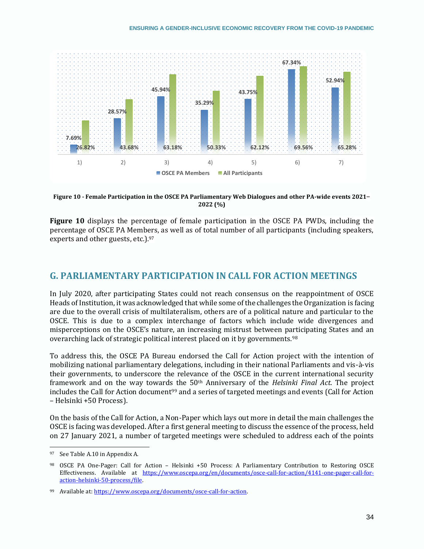

**Figure 10 - Female Participation in the OSCE PA Parliamentary Web Dialogues and other PA-wide events 2021**– **2022 (%)**

**Figure 10** displays the percentage of female participation in the OSCE PA PWDs, including the percentage of OSCE PA Members, as well as of total number of all participants (including speakers, experts and other guests, etc.).<sup>97</sup>

#### <span id="page-34-0"></span>**G. PARLIAMENTARY PARTICIPATION IN CALL FOR ACTION MEETINGS**

In July 2020, after participating States could not reach consensus on the reappointment of OSCE Heads of Institution, it was acknowledged that while some of the challenges the Organization is facing are due to the overall crisis of multilateralism, others are of a political nature and particular to the OSCE. This is due to a complex interchange of factors which include wide divergences and misperceptions on the OSCE's nature, an increasing mistrust between participating States and an overarching lack of strategic political interest placed on it by governments.<sup>98</sup>

To address this, the OSCE PA Bureau endorsed the Call for Action project with the intention of mobilizing national parliamentary delegations, including in their national Parliaments and vis-à-vis their governments, to underscore the relevance of the OSCE in the current international security framework and on the way towards the 50th Anniversary of the *Helsinki Final Act*. The project includes the Call for Action document<sup>99</sup> and a series of targeted meetings and events (Call for Action – Helsinki +50 Process).

On the basis of the Call for Action, a Non-Paper which lays out more in detail the main challenges the OSCE is facing was developed. After a first general meeting to discuss the essence of the process, held on 27 January 2021, a number of targeted meetings were scheduled to address each of the points

<sup>97</sup> See Table A.10 in Appendix A.

<sup>98</sup> OSCE PA One-Pager: Call for Action – Helsinki +50 Process: A Parliamentary Contribution to Restoring OSCE Effectiveness. Available at [https://www.oscepa.org/en/documents/osce-call-for-action/4141-one-pager-call-for](https://www.oscepa.org/en/documents/osce-call-for-action/4141-one-pager-call-for-action-helsinki-50-process/file)[action-helsinki-50-process/file.](https://www.oscepa.org/en/documents/osce-call-for-action/4141-one-pager-call-for-action-helsinki-50-process/file) 

<sup>99</sup> Available at[: https://www.oscepa.org/documents/osce-call-for-action.](https://www.oscepa.org/documents/osce-call-for-action)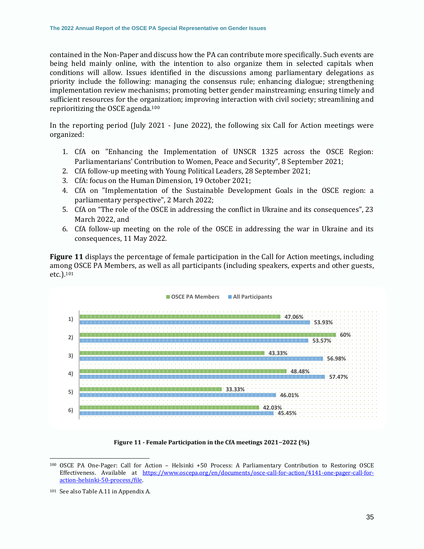contained in the Non-Paper and discuss how the PA can contribute more specifically. Such events are being held mainly online, with the intention to also organize them in selected capitals when conditions will allow. Issues identified in the discussions among parliamentary delegations as priority include the following: managing the consensus rule; enhancing dialogue; strengthening implementation review mechanisms; promoting better gender mainstreaming; ensuring timely and sufficient resources for the organization; improving interaction with civil society; streamlining and reprioritizing the OSCE agenda.<sup>100</sup>

In the reporting period (July 2021 - June 2022), the following six Call for Action meetings were organized:

- 1. CfA on "Enhancing the Implementation of UNSCR 1325 across the OSCE Region: Parliamentarians' Contribution to Women, Peace and Security", 8 September 2021;
- 2. CfA follow-up meeting with Young Political Leaders, 28 September 2021;
- 3. CfA: focus on the Human Dimension, 19 October 2021;
- 4. CfA on "Implementation of the Sustainable Development Goals in the OSCE region: a parliamentary perspective", 2 March 2022;
- 5. CfA on "The role of the OSCE in addressing the conflict in Ukraine and its consequences", 23 March 2022, and
- 6. CfA follow-up meeting on the role of the OSCE in addressing the war in Ukraine and its consequences, 11 May 2022.

**Figure 11** displays the percentage of female participation in the Call for Action meetings, including among OSCE PA Members, as well as all participants (including speakers, experts and other guests, etc.).<sup>101</sup>



**Figure 11 - Female Participation in the CfA meetings 2021**–**2022 (%)**

<sup>100</sup> OSCE PA One-Pager: Call for Action – Helsinki +50 Process: A Parliamentary Contribution to Restoring OSCE Effectiveness. Available at [https://www.oscepa.org/en/documents/osce-call-for-action/4141-one-pager-call-for](https://www.oscepa.org/en/documents/osce-call-for-action/4141-one-pager-call-for-action-helsinki-50-process/file)[action-helsinki-50-process/file.](https://www.oscepa.org/en/documents/osce-call-for-action/4141-one-pager-call-for-action-helsinki-50-process/file)

<sup>101</sup> See also Table A.11 in Appendix A.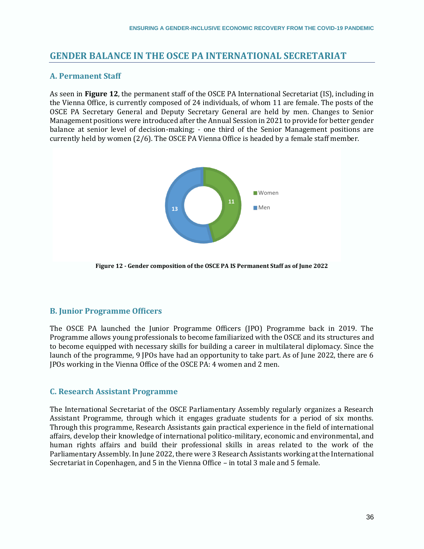#### <span id="page-36-0"></span>**GENDER BALANCE IN THE OSCE PA INTERNATIONAL SECRETARIAT**

#### <span id="page-36-1"></span>**A. Permanent Staff**

As seen in **Figure 12**, the permanent staff of the OSCE PA International Secretariat (IS), including in the Vienna Office, is currently composed of 24 individuals, of whom 11 are female. The posts of the OSCE PA Secretary General and Deputy Secretary General are held by men. Changes to Senior Management positions were introduced after the Annual Session in 2021 to provide for better gender balance at senior level of decision-making; - one third of the Senior Management positions are currently held by women (2/6). The OSCE PA Vienna Office is headed by a female staff member.



**Figure 12 - Gender composition of the OSCE PA IS Permanent Staff as of June 2022**

#### <span id="page-36-2"></span>**B. Junior Programme Officers**

The OSCE PA launched the Junior Programme Officers (JPO) Programme back in 2019. The Programme allows young professionals to become familiarized with the OSCE and its structures and to become equipped with necessary skills for building a career in multilateral diplomacy. Since the launch of the programme, 9 JPOs have had an opportunity to take part. As of June 2022, there are 6 JPOs working in the Vienna Office of the OSCE PA: 4 women and 2 men.

#### <span id="page-36-3"></span>**C. Research Assistant Programme**

The International Secretariat of the OSCE Parliamentary Assembly regularly organizes a Research Assistant Programme, through which it engages graduate students for a period of six months. Through this programme, Research Assistants gain practical experience in the field of international affairs, develop their knowledge of international politico-military, economic and environmental, and human rights affairs and build their professional skills in areas related to the work of the Parliamentary Assembly. In June 2022, there were 3 Research Assistants working at the International Secretariat in Copenhagen, and 5 in the Vienna Office – in total 3 male and 5 female.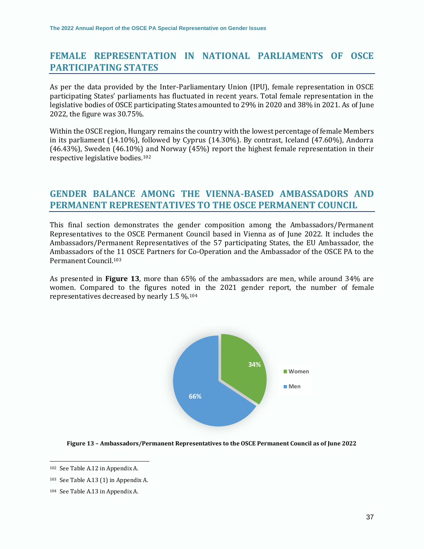#### <span id="page-37-0"></span>**FEMALE REPRESENTATION IN NATIONAL PARLIAMENTS OF OSCE PARTICIPATING STATES**

As per the data provided by the Inter-Parliamentary Union (IPU), female representation in OSCE participating States' parliaments has fluctuated in recent years. Total female representation in the legislative bodies of OSCE participating States amounted to 29% in 2020 and 38% in 2021. As of June 2022, the figure was 30.75%.

Within the OSCE region, Hungary remains the country with the lowest percentage of female Members in its parliament (14.10%), followed by Cyprus (14.30%). By contrast, Iceland (47.60%), Andorra (46.43%), Sweden (46.10%) and Norway (45%) report the highest female representation in their respective legislative bodies.<sup>102</sup>

#### <span id="page-37-1"></span>**GENDER BALANCE AMONG THE VIENNA-BASED AMBASSADORS AND PERMANENT REPRESENTATIVES TO THE OSCE PERMANENT COUNCIL**

This final section demonstrates the gender composition among the Ambassadors/Permanent Representatives to the OSCE Permanent Council based in Vienna as of June 2022. It includes the Ambassadors/Permanent Representatives of the 57 participating States, the EU Ambassador, the Ambassadors of the 11 OSCE Partners for Co-Operation and the Ambassador of the OSCE PA to the Permanent Council.<sup>103</sup>

As presented in **Figure 13**, more than 65% of the ambassadors are men, while around 34% are women. Compared to the figures noted in the 2021 gender report, the number of female representatives decreased by nearly 1.5 %.<sup>104</sup>



**Figure 13 – Ambassadors/Permanent Representatives to the OSCE Permanent Council as of June 2022**

<sup>102</sup> See Table A.12 in Appendix A.

<sup>103</sup> See Table A.13 (1) in Appendix A.

<sup>104</sup> See Table A.13 in Appendix A.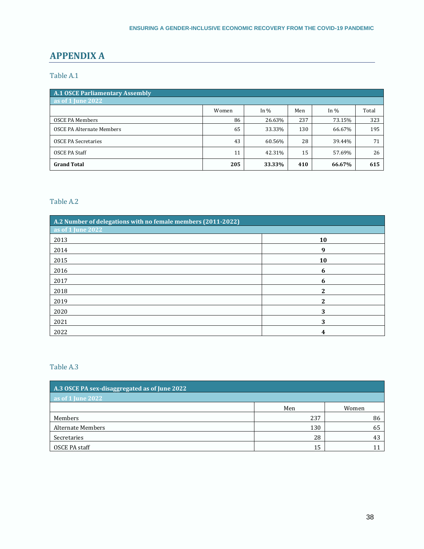# <span id="page-38-0"></span>**APPENDIX A**

#### Table A.1

| A.1 OSCE Parliamentary Assembly |       |        |     |        |       |
|---------------------------------|-------|--------|-----|--------|-------|
| as of 1 June 2022               |       |        |     |        |       |
|                                 | Women | In $%$ | Men | In $%$ | Total |
| OSCE PA Members                 | 86    | 26.63% | 237 | 73.15% | 323   |
| OSCE PA Alternate Members       | 65    | 33.33% | 130 | 66.67% | 195   |
| OSCE PA Secretaries             | 43    | 60.56% | 28  | 39.44% | 71    |
| OSCE PA Staff                   | 11    | 42.31% | 15  | 57.69% | 26    |
| <b>Grand Total</b>              | 205   | 33.33% | 410 | 66.67% | 615   |

#### Table A.2

| A.2 Number of delegations with no female members (2011-2022) |    |  |  |
|--------------------------------------------------------------|----|--|--|
| as of 1 June 2022                                            |    |  |  |
| 2013                                                         | 10 |  |  |
| 2014                                                         | 9  |  |  |
| 2015                                                         | 10 |  |  |
| 2016                                                         | 6  |  |  |
| 2017                                                         | 6  |  |  |
| 2018                                                         | 2  |  |  |
| 2019                                                         | 2  |  |  |
| 2020                                                         | 3  |  |  |
| 2021                                                         | 3  |  |  |
| 2022                                                         | 4  |  |  |

| A.3 OSCE PA sex-disaggregated as of June 2022 |     |       |  |  |
|-----------------------------------------------|-----|-------|--|--|
| as of 1 June 2022                             |     |       |  |  |
|                                               | Men | Women |  |  |
| Members                                       | 237 | 86    |  |  |
| <b>Alternate Members</b>                      | 130 | 65    |  |  |
| Secretaries                                   | 28  | 43    |  |  |
| OSCE PA staff                                 | 15  |       |  |  |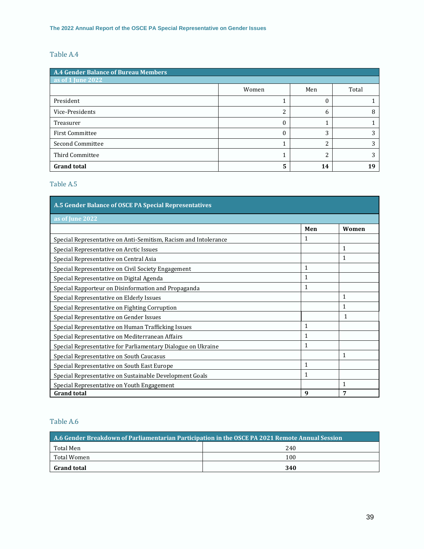#### Table A.4

| A.4 Gender Balance of Bureau Members |       |     |             |  |  |  |
|--------------------------------------|-------|-----|-------------|--|--|--|
| as of 1 June 2022                    |       |     |             |  |  |  |
|                                      | Women | Men | Total       |  |  |  |
| President                            |       |     |             |  |  |  |
| Vice-Presidents                      |       | h   | 8           |  |  |  |
| Treasurer                            | 0     |     |             |  |  |  |
| First Committee                      |       | ົ   | 3           |  |  |  |
| Second Committee                     |       |     |             |  |  |  |
| Third Committee                      |       |     |             |  |  |  |
| <b>Grand total</b>                   | 5     | 14  | $\mathbf o$ |  |  |  |

#### Table A.5

| A.5 Gender Balance of OSCE PA Special Representatives           |              |       |  |  |  |
|-----------------------------------------------------------------|--------------|-------|--|--|--|
| as of June 2022                                                 |              |       |  |  |  |
|                                                                 | Men          | Women |  |  |  |
| Special Representative on Anti-Semitism, Racism and Intolerance | 1            |       |  |  |  |
| Special Representative on Arctic Issues                         |              | 1     |  |  |  |
| Special Representative on Central Asia                          |              | 1     |  |  |  |
| Special Representative on Civil Society Engagement              | 1            |       |  |  |  |
| Special Representative on Digital Agenda                        | $\mathbf{1}$ |       |  |  |  |
| Special Rapporteur on Disinformation and Propaganda             | 1            |       |  |  |  |
| Special Representative on Elderly Issues                        |              | 1     |  |  |  |
| Special Representative on Fighting Corruption                   |              | 1     |  |  |  |
| Special Representative on Gender Issues                         |              | 1     |  |  |  |
| Special Representative on Human Trafficking Issues              | $\mathbf{1}$ |       |  |  |  |
| Special Representative on Mediterranean Affairs                 | 1            |       |  |  |  |
| Special Representative for Parliamentary Dialogue on Ukraine    | 1            |       |  |  |  |
| Special Representative on South Caucasus                        |              | 1     |  |  |  |
| Special Representative on South East Europe                     | 1            |       |  |  |  |
| Special Representative on Sustainable Development Goals         | 1            |       |  |  |  |
| 1<br>Special Representative on Youth Engagement                 |              |       |  |  |  |
| <b>Grand</b> total                                              | 9            | 7     |  |  |  |

| A.6 Gender Breakdown of Parliamentarian Participation in the OSCE PA 2021 Remote Annual Session |     |  |  |  |
|-------------------------------------------------------------------------------------------------|-----|--|--|--|
| Total Men                                                                                       | 240 |  |  |  |
| Total Women                                                                                     | 100 |  |  |  |
| <b>Grand total</b>                                                                              | 340 |  |  |  |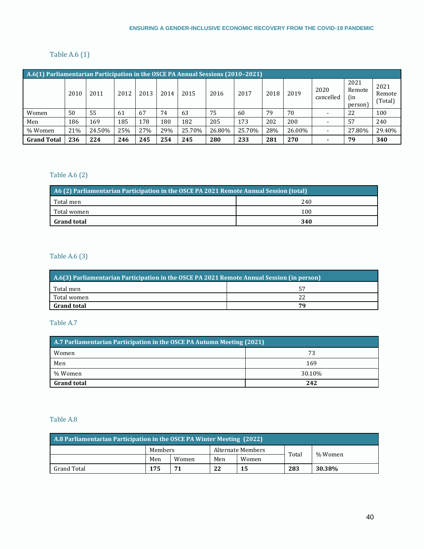#### Table A.6 (1)

| A.6(1) Parliamentarian Participation in the OSCE PA Annual Sessions (2010-2021) |      |        |      |      |      |        |        |        |      |        |                   |                                 |                           |
|---------------------------------------------------------------------------------|------|--------|------|------|------|--------|--------|--------|------|--------|-------------------|---------------------------------|---------------------------|
|                                                                                 | 2010 | 2011   | 2012 | 2013 | 2014 | 2015   | 2016   | 2017   | 2018 | 2019   | 2020<br>cancelled | 2021<br>Remote<br>(in<br>person | 2021<br>Remote<br>(Total) |
| Women                                                                           | 50   | 55     | 61   | 67   | 74   | 63     | 75     | 60     | 79   | 70     |                   | 22                              | 100                       |
| Men                                                                             | 186  | 169    | 185  | 178  | 180  | 182    | 205    | 173    | 202  | 200    |                   | 57                              | 240                       |
| % Women                                                                         | 21%  | 24.50% | 25%  | 27%  | 29%  | 25.70% | 26.80% | 25.70% | 28%  | 26.00% |                   | 27.80%                          | 29.40%                    |
| <b>Grand Total</b>                                                              | 236  | 224    | 246  | 245  | 254  | 245    | 280    | 233    | 281  | 270    | $\blacksquare$    | 79                              | 340                       |

#### Table A.6 (2)

| A6 (2) Parliamentarian Participation in the OSCE PA 2021 Remote Annual Session (total) |     |  |  |  |
|----------------------------------------------------------------------------------------|-----|--|--|--|
| Total men                                                                              | 240 |  |  |  |
| Total women                                                                            | 100 |  |  |  |
| Grand total                                                                            | 340 |  |  |  |

#### Table A.6 (3)

| $A.6(3)$ Parliamentarian Participation in the OSCE PA 2021 Remote Annual Session (in person) |    |  |  |  |
|----------------------------------------------------------------------------------------------|----|--|--|--|
| Total men                                                                                    |    |  |  |  |
| Total women                                                                                  |    |  |  |  |
| <b>Grand total</b>                                                                           | 70 |  |  |  |

#### Table A.7

| A.7 Parliamentarian Participation in the OSCE PA Autumn Meeting (2021) |        |  |  |  |  |
|------------------------------------------------------------------------|--------|--|--|--|--|
| Women                                                                  | 73     |  |  |  |  |
| Men                                                                    | 169    |  |  |  |  |
| % Women                                                                | 30.10% |  |  |  |  |
| <b>Grand total</b>                                                     | 242    |  |  |  |  |

| A.8 Parliamentarian Participation in the OSCE PA Winter Meeting (2022) |         |       |                   |    |       |         |
|------------------------------------------------------------------------|---------|-------|-------------------|----|-------|---------|
|                                                                        | Members |       | Alternate Members |    | Total | % Women |
|                                                                        | Men     | Women | Men<br>Women      |    |       |         |
| Grand Total                                                            | 175     | 71    | 22                | 15 | 283   | 30.38%  |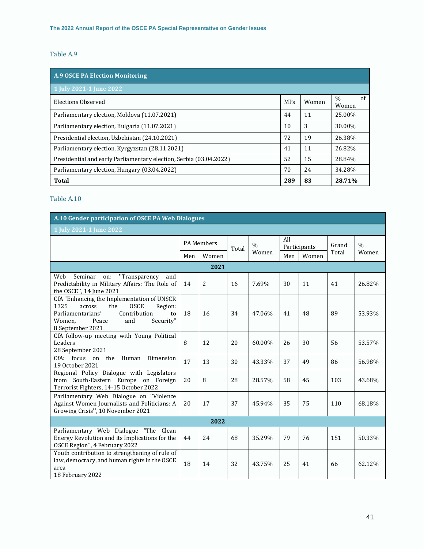#### Table A.9

| A.9 OSCE PA Election Monitoring                                    |            |       |                              |  |  |  |
|--------------------------------------------------------------------|------------|-------|------------------------------|--|--|--|
| 1 July 2021-1 June 2022                                            |            |       |                              |  |  |  |
| Elections Observed                                                 | <b>MPs</b> | Women | $\frac{0}{0}$<br>of<br>Women |  |  |  |
| Parliamentary election, Moldova (11.07.2021)                       | 44         | 11    | 25.00%                       |  |  |  |
| Parliamentary election, Bulgaria (11.07.2021)                      | 10         | 3     | 30.00%                       |  |  |  |
| Presidential election, Uzbekistan (24.10.2021)                     | 72         | 19    | 26.38%                       |  |  |  |
| Parliamentary election, Kyrgyzstan (28.11.2021)                    | 41         | 11    | 26.82%                       |  |  |  |
| Presidential and early Parliamentary election, Serbia (03.04.2022) | 52         | 15    | 28.84%                       |  |  |  |
| Parliamentary election, Hungary (03.04.2022)                       | 70         | 24    | 34.28%                       |  |  |  |
| <b>Total</b>                                                       | 289        | 83    | 28.71%                       |  |  |  |

| A.10 Gender participation of OSCE PA Web Dialogues                                                                                                                                                  |     |                   |       |                        |                     |       |       |               |
|-----------------------------------------------------------------------------------------------------------------------------------------------------------------------------------------------------|-----|-------------------|-------|------------------------|---------------------|-------|-------|---------------|
| 1 July 2021-1 June 2022                                                                                                                                                                             |     |                   |       |                        |                     |       |       |               |
|                                                                                                                                                                                                     |     | <b>PA Members</b> | Total | $\frac{0}{0}$<br>Women | All<br>Participants |       | Grand | $\frac{0}{0}$ |
|                                                                                                                                                                                                     | Men | Women             |       |                        | Men                 | Women | Total | Women         |
|                                                                                                                                                                                                     |     | 2021              |       |                        |                     |       |       |               |
| "Transparency<br>Web<br>Seminar<br>and<br>on:<br>Predictability in Military Affairs: The Role of<br>the OSCE", 14 June 2021                                                                         | 14  | 2                 | 16    | 7.69%                  | 30                  | 11    | 41    | 26.82%        |
| CfA "Enhancing the Implementation of UNSCR<br>1325<br><b>OSCE</b><br>across<br>the<br>Region:<br>Contribution<br>Parliamentarians'<br>to<br>Women,<br>Peace<br>and<br>Security"<br>8 September 2021 | 18  | 16                | 34    | 47.06%                 | 41                  | 48    | 89    | 53.93%        |
| CfA follow-up meeting with Young Political<br>Leaders<br>28 September 2021                                                                                                                          | 8   | 12                | 20    | 60.00%                 | 26                  | 30    | 56    | 53.57%        |
| $CfA:$ focus<br>Human<br>Dimension<br>on<br>the<br>19 October 2021                                                                                                                                  | 17  | 13                | 30    | 43.33%                 | 37                  | 49    | 86    | 56.98%        |
| Regional Policy Dialogue with Legislators<br>from South-Eastern Europe on Foreign<br>Terrorist Fighters, 14-15 October 2022                                                                         | 20  | 8                 | 28    | 28.57%                 | 58                  | 45    | 103   | 43.68%        |
| Parliamentary Web Dialogue on "Violence<br>Against Women Journalists and Politicians: A<br>Growing Crisis", 10 November 2021                                                                        | 20  | 17                | 37    | 45.94%                 | 35                  | 75    | 110   | 68.18%        |
| 2022                                                                                                                                                                                                |     |                   |       |                        |                     |       |       |               |
| Parliamentary Web Dialogue "The Clean<br>Energy Revolution and its Implications for the<br>OSCE Region", 4 February 2022                                                                            | 44  | 24                | 68    | 35.29%                 | 79                  | 76    | 151   | 50.33%        |
| Youth contribution to strengthening of rule of<br>law, democracy, and human rights in the OSCE<br>area<br>18 February 2022                                                                          | 18  | 14                | 32    | 43.75%                 | 25                  | 41    | 66    | 62.12%        |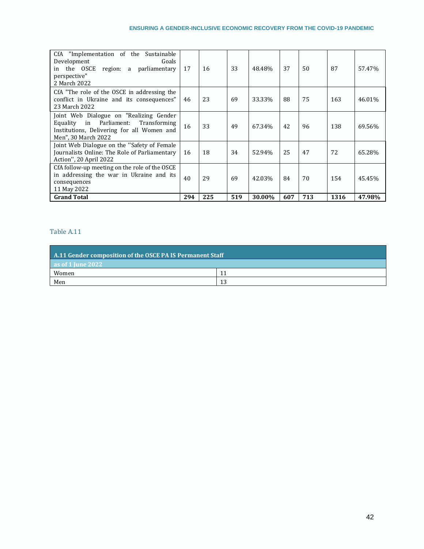| CfA "Implementation of the Sustainable<br>Development<br>Goals<br>the OSCE region:<br>parliamentary<br>a<br>in<br>perspective"<br>2 March 2022          | 17  | 16  | 33  | 48.48% | 37  | 50  | 87   | 57.47% |
|---------------------------------------------------------------------------------------------------------------------------------------------------------|-----|-----|-----|--------|-----|-----|------|--------|
| CfA "The role of the OSCE in addressing the<br>conflict in Ukraine and its consequences"<br>23 March 2022                                               | 46  | 23  | 69  | 33.33% | 88  | 75  | 163  | 46.01% |
| Joint Web Dialogue on "Realizing Gender<br>Equality in Parliament:<br>Transforming<br>Institutions, Delivering for all Women and<br>Men", 30 March 2022 | 16  | 33  | 49  | 67.34% | 42  | 96  | 138  | 69.56% |
| Joint Web Dialogue on the "Safety of Female"<br>Journalists Online: The Role of Parliamentary<br>Action", 20 April 2022                                 | 16  | 18  | 34  | 52.94% | 25  | 47  | 72   | 65.28% |
| CfA follow-up meeting on the role of the OSCE<br>in addressing the war in Ukraine and its<br>consequences<br>11 May 2022                                | 40  | 29  | 69  | 42.03% | 84  | 70  | 154  | 45.45% |
| <b>Grand Total</b>                                                                                                                                      | 294 | 225 | 519 | 30.00% | 607 | 713 | 1316 | 47.98% |

| A.11 Gender composition of the OSCE PA IS Permanent Staff |    |  |  |  |  |  |
|-----------------------------------------------------------|----|--|--|--|--|--|
| as of 1 June 2022                                         |    |  |  |  |  |  |
| Women                                                     |    |  |  |  |  |  |
| Men                                                       | 13 |  |  |  |  |  |